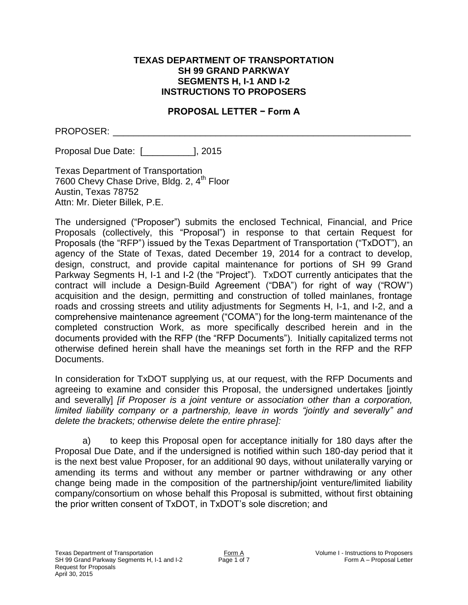#### **TEXAS DEPARTMENT OF TRANSPORTATION SH 99 GRAND PARKWAY SEGMENTS H, I-1 AND I-2 INSTRUCTIONS TO PROPOSERS**

#### **PROPOSAL LETTER − Form A**

PROPOSER:

Proposal Due Date: [\_\_\_\_\_\_\_\_\_\_], 2015

Texas Department of Transportation 7600 Chevy Chase Drive, Bldg. 2, 4<sup>th</sup> Floor Austin, Texas 78752 Attn: Mr. Dieter Billek, P.E.

The undersigned ("Proposer") submits the enclosed Technical, Financial, and Price Proposals (collectively, this "Proposal") in response to that certain Request for Proposals (the "RFP") issued by the Texas Department of Transportation ("TxDOT"), an agency of the State of Texas, dated December 19, 2014 for a contract to develop, design, construct, and provide capital maintenance for portions of SH 99 Grand Parkway Segments H, I-1 and I-2 (the "Project"). TxDOT currently anticipates that the contract will include a Design-Build Agreement ("DBA") for right of way ("ROW") acquisition and the design, permitting and construction of tolled mainlanes, frontage roads and crossing streets and utility adjustments for Segments H, I-1, and I-2, and a comprehensive maintenance agreement ("COMA") for the long-term maintenance of the completed construction Work, as more specifically described herein and in the documents provided with the RFP (the "RFP Documents"). Initially capitalized terms not otherwise defined herein shall have the meanings set forth in the RFP and the RFP Documents.

In consideration for TxDOT supplying us, at our request, with the RFP Documents and agreeing to examine and consider this Proposal, the undersigned undertakes [jointly and severally] *[if Proposer is a joint venture or association other than a corporation, limited liability company or a partnership, leave in words "jointly and severally" and delete the brackets; otherwise delete the entire phrase]:*

a) to keep this Proposal open for acceptance initially for 180 days after the Proposal Due Date, and if the undersigned is notified within such 180-day period that it is the next best value Proposer, for an additional 90 days, without unilaterally varying or amending its terms and without any member or partner withdrawing or any other change being made in the composition of the partnership/joint venture/limited liability company/consortium on whose behalf this Proposal is submitted, without first obtaining the prior written consent of TxDOT, in TxDOT's sole discretion; and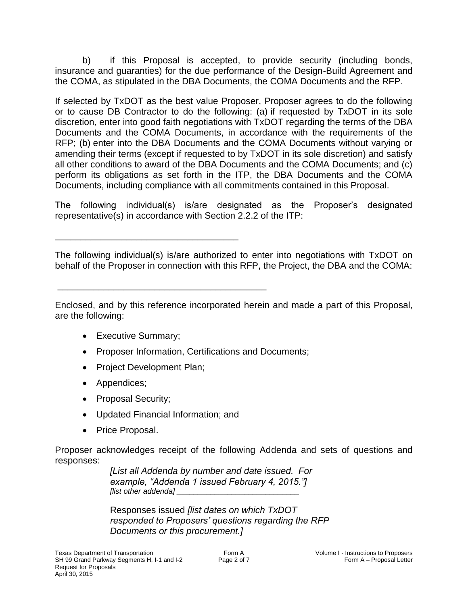b) if this Proposal is accepted, to provide security (including bonds, insurance and guaranties) for the due performance of the Design-Build Agreement and the COMA, as stipulated in the DBA Documents, the COMA Documents and the RFP.

If selected by TxDOT as the best value Proposer, Proposer agrees to do the following or to cause DB Contractor to do the following: (a) if requested by TxDOT in its sole discretion, enter into good faith negotiations with TxDOT regarding the terms of the DBA Documents and the COMA Documents, in accordance with the requirements of the RFP; (b) enter into the DBA Documents and the COMA Documents without varying or amending their terms (except if requested to by TxDOT in its sole discretion) and satisfy all other conditions to award of the DBA Documents and the COMA Documents; and (c) perform its obligations as set forth in the ITP, the DBA Documents and the COMA Documents, including compliance with all commitments contained in this Proposal.

The following individual(s) is/are designated as the Proposer's designated representative(s) in accordance with Section 2.2.2 of the ITP:

The following individual(s) is/are authorized to enter into negotiations with TxDOT on behalf of the Proposer in connection with this RFP, the Project, the DBA and the COMA:

Enclosed, and by this reference incorporated herein and made a part of this Proposal, are the following:

- Executive Summary;
- Proposer Information, Certifications and Documents;
- Project Development Plan;

\_\_\_\_\_\_\_\_\_\_\_\_\_\_\_\_\_\_\_\_\_\_\_\_\_\_\_\_\_\_\_\_\_\_\_\_

\_\_\_\_\_\_\_\_\_\_\_\_\_\_\_\_\_\_\_\_\_\_\_\_\_\_\_\_\_\_\_\_\_\_\_\_\_\_\_\_\_

- Appendices;
- Proposal Security;
- Updated Financial Information; and
- Price Proposal.

Proposer acknowledges receipt of the following Addenda and sets of questions and responses:

> *[List all Addenda by number and date issued. For example, "Addenda 1 issued February 4, 2015."] [list other addenda] \_\_\_\_\_\_\_\_\_\_\_\_\_\_\_\_\_\_\_\_\_\_\_\_\_\_\_\_\_*

Responses issued *[list dates on which TxDOT responded to Proposers' questions regarding the RFP Documents or this procurement.]*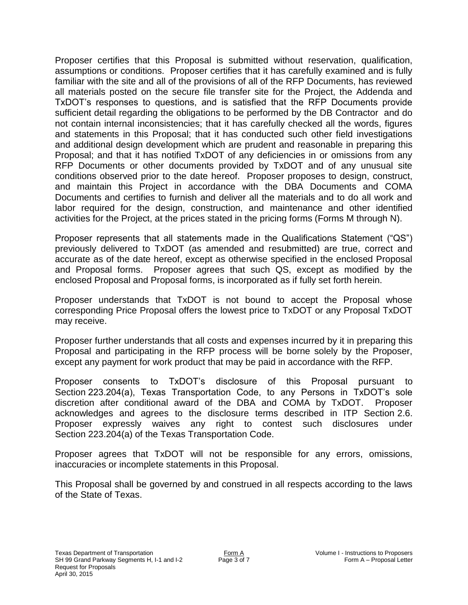Proposer certifies that this Proposal is submitted without reservation, qualification, assumptions or conditions. Proposer certifies that it has carefully examined and is fully familiar with the site and all of the provisions of all of the RFP Documents, has reviewed all materials posted on the secure file transfer site for the Project, the Addenda and TxDOT's responses to questions, and is satisfied that the RFP Documents provide sufficient detail regarding the obligations to be performed by the DB Contractor and do not contain internal inconsistencies; that it has carefully checked all the words, figures and statements in this Proposal; that it has conducted such other field investigations and additional design development which are prudent and reasonable in preparing this Proposal; and that it has notified TxDOT of any deficiencies in or omissions from any RFP Documents or other documents provided by TxDOT and of any unusual site conditions observed prior to the date hereof. Proposer proposes to design, construct, and maintain this Project in accordance with the DBA Documents and COMA Documents and certifies to furnish and deliver all the materials and to do all work and labor required for the design, construction, and maintenance and other identified activities for the Project, at the prices stated in the pricing forms (Forms M through N).

Proposer represents that all statements made in the Qualifications Statement ("QS") previously delivered to TxDOT (as amended and resubmitted) are true, correct and accurate as of the date hereof, except as otherwise specified in the enclosed Proposal and Proposal forms. Proposer agrees that such QS, except as modified by the enclosed Proposal and Proposal forms, is incorporated as if fully set forth herein.

Proposer understands that TxDOT is not bound to accept the Proposal whose corresponding Price Proposal offers the lowest price to TxDOT or any Proposal TxDOT may receive.

Proposer further understands that all costs and expenses incurred by it in preparing this Proposal and participating in the RFP process will be borne solely by the Proposer, except any payment for work product that may be paid in accordance with the RFP.

Proposer consents to TxDOT's disclosure of this Proposal pursuant to Section 223.204(a), Texas Transportation Code, to any Persons in TxDOT's sole discretion after conditional award of the DBA and COMA by TxDOT. Proposer acknowledges and agrees to the disclosure terms described in ITP Section 2.6. Proposer expressly waives any right to contest such disclosures under Section 223.204(a) of the Texas Transportation Code.

Proposer agrees that TxDOT will not be responsible for any errors, omissions, inaccuracies or incomplete statements in this Proposal.

This Proposal shall be governed by and construed in all respects according to the laws of the State of Texas.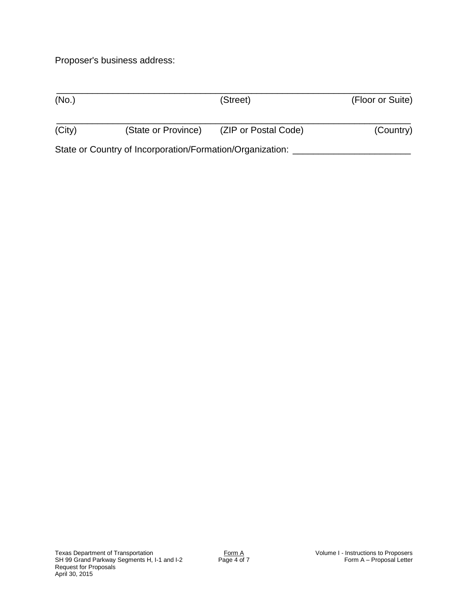Proposer's business address:

| (No.)  |                                                           | (Street)             | (Floor or Suite) |
|--------|-----------------------------------------------------------|----------------------|------------------|
| (City) | (State or Province)                                       | (ZIP or Postal Code) | (Country)        |
|        | State or Country of Incorporation/Formation/Organization: |                      |                  |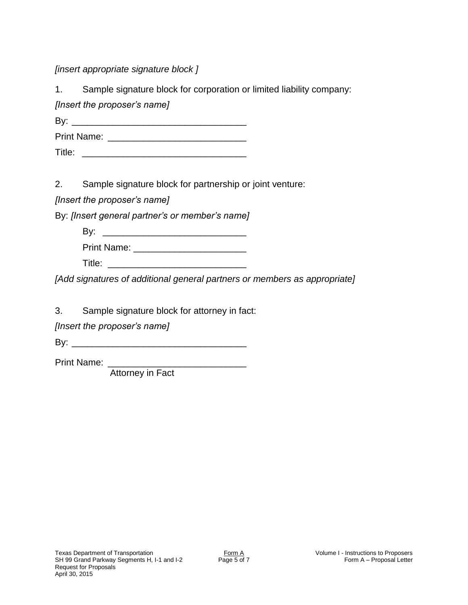*[insert appropriate signature block ]*

1. Sample signature block for corporation or limited liability company:

*[Insert the proposer's name]*

By: \_\_\_\_\_\_\_\_\_\_\_\_\_\_\_\_\_\_\_\_\_\_\_\_\_\_\_\_\_\_\_\_\_\_

Print Name: \_\_\_\_\_\_\_\_\_\_\_\_\_\_\_\_\_\_\_\_\_\_\_\_\_\_\_

Title: \_\_\_\_\_\_\_\_\_\_\_\_\_\_\_\_\_\_\_\_\_\_\_\_\_\_\_\_\_\_\_\_

2. Sample signature block for partnership or joint venture:

*[Insert the proposer's name]*

By: *[Insert general partner's or member's name]*

| By:                |  |  |
|--------------------|--|--|
| <b>Print Name:</b> |  |  |
| Title:             |  |  |

*[Add signatures of additional general partners or members as appropriate]*

3. Sample signature block for attorney in fact:

*[Insert the proposer's name]*

By: \_\_\_\_\_\_\_\_\_\_\_\_\_\_\_\_\_\_\_\_\_\_\_\_\_\_\_\_\_\_\_\_\_\_

Print Name: \_\_\_\_\_\_\_\_

Attorney in Fact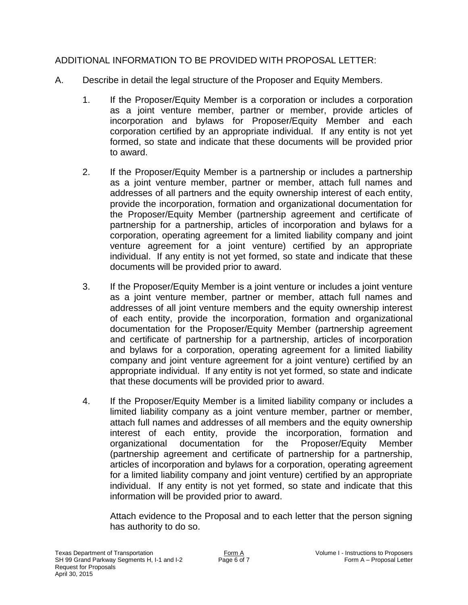# ADDITIONAL INFORMATION TO BE PROVIDED WITH PROPOSAL LETTER:

- A. Describe in detail the legal structure of the Proposer and Equity Members.
	- 1. If the Proposer/Equity Member is a corporation or includes a corporation as a joint venture member, partner or member, provide articles of incorporation and bylaws for Proposer/Equity Member and each corporation certified by an appropriate individual. If any entity is not yet formed, so state and indicate that these documents will be provided prior to award.
	- 2. If the Proposer/Equity Member is a partnership or includes a partnership as a joint venture member, partner or member, attach full names and addresses of all partners and the equity ownership interest of each entity, provide the incorporation, formation and organizational documentation for the Proposer/Equity Member (partnership agreement and certificate of partnership for a partnership, articles of incorporation and bylaws for a corporation, operating agreement for a limited liability company and joint venture agreement for a joint venture) certified by an appropriate individual. If any entity is not yet formed, so state and indicate that these documents will be provided prior to award.
	- 3. If the Proposer/Equity Member is a joint venture or includes a joint venture as a joint venture member, partner or member, attach full names and addresses of all joint venture members and the equity ownership interest of each entity, provide the incorporation, formation and organizational documentation for the Proposer/Equity Member (partnership agreement and certificate of partnership for a partnership, articles of incorporation and bylaws for a corporation, operating agreement for a limited liability company and joint venture agreement for a joint venture) certified by an appropriate individual. If any entity is not yet formed, so state and indicate that these documents will be provided prior to award.
	- 4. If the Proposer/Equity Member is a limited liability company or includes a limited liability company as a joint venture member, partner or member, attach full names and addresses of all members and the equity ownership interest of each entity, provide the incorporation, formation and organizational documentation for the Proposer/Equity Member (partnership agreement and certificate of partnership for a partnership, articles of incorporation and bylaws for a corporation, operating agreement for a limited liability company and joint venture) certified by an appropriate individual. If any entity is not yet formed, so state and indicate that this information will be provided prior to award.

Attach evidence to the Proposal and to each letter that the person signing has authority to do so.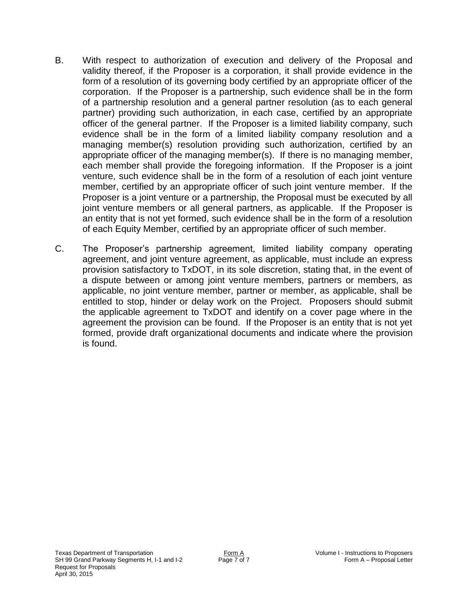- B. With respect to authorization of execution and delivery of the Proposal and validity thereof, if the Proposer is a corporation, it shall provide evidence in the form of a resolution of its governing body certified by an appropriate officer of the corporation. If the Proposer is a partnership, such evidence shall be in the form of a partnership resolution and a general partner resolution (as to each general partner) providing such authorization, in each case, certified by an appropriate officer of the general partner. If the Proposer is a limited liability company, such evidence shall be in the form of a limited liability company resolution and a managing member(s) resolution providing such authorization, certified by an appropriate officer of the managing member(s). If there is no managing member, each member shall provide the foregoing information. If the Proposer is a joint venture, such evidence shall be in the form of a resolution of each joint venture member, certified by an appropriate officer of such joint venture member. If the Proposer is a joint venture or a partnership, the Proposal must be executed by all joint venture members or all general partners, as applicable. If the Proposer is an entity that is not yet formed, such evidence shall be in the form of a resolution of each Equity Member, certified by an appropriate officer of such member.
- C. The Proposer's partnership agreement, limited liability company operating agreement, and joint venture agreement, as applicable, must include an express provision satisfactory to TxDOT, in its sole discretion, stating that, in the event of a dispute between or among joint venture members, partners or members, as applicable, no joint venture member, partner or member, as applicable, shall be entitled to stop, hinder or delay work on the Project. Proposers should submit the applicable agreement to TxDOT and identify on a cover page where in the agreement the provision can be found. If the Proposer is an entity that is not yet formed, provide draft organizational documents and indicate where the provision is found.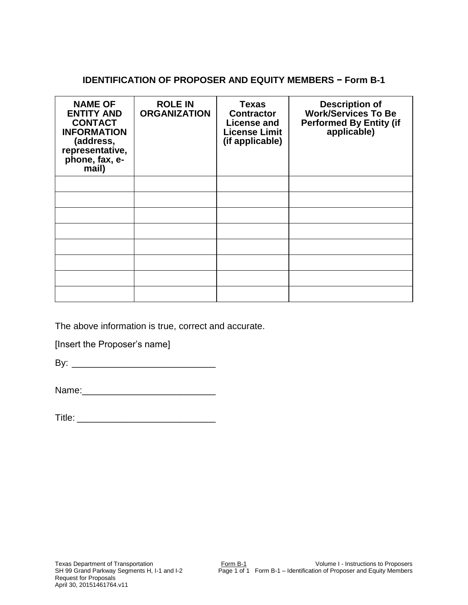#### **IDENTIFICATION OF PROPOSER AND EQUITY MEMBERS − Form B-1**

| <b>NAME OF</b><br><b>ENTITY AND</b><br><b>CONTACT</b><br><b>INFORMATION</b><br>(address,<br>representative,<br>phone, fax, e-<br>mail) | <b>ROLE IN</b><br><b>ORGANIZATION</b> | <b>Texas</b><br><b>Contractor</b><br><b>License and</b><br><b>License Limit</b><br>(if applicable) | <b>Description of</b><br><b>Work/Services To Be</b><br><b>Performed By Entity (if</b><br>applicable) |
|----------------------------------------------------------------------------------------------------------------------------------------|---------------------------------------|----------------------------------------------------------------------------------------------------|------------------------------------------------------------------------------------------------------|
|                                                                                                                                        |                                       |                                                                                                    |                                                                                                      |
|                                                                                                                                        |                                       |                                                                                                    |                                                                                                      |
|                                                                                                                                        |                                       |                                                                                                    |                                                                                                      |
|                                                                                                                                        |                                       |                                                                                                    |                                                                                                      |
|                                                                                                                                        |                                       |                                                                                                    |                                                                                                      |
|                                                                                                                                        |                                       |                                                                                                    |                                                                                                      |
|                                                                                                                                        |                                       |                                                                                                    |                                                                                                      |
|                                                                                                                                        |                                       |                                                                                                    |                                                                                                      |

The above information is true, correct and accurate.

[Insert the Proposer's name]

By: \_\_\_\_\_\_\_\_\_\_\_\_\_\_\_\_\_\_\_\_\_\_\_\_\_\_\_\_

Name:\_\_\_\_\_\_\_\_\_\_\_\_\_\_\_\_\_\_\_\_\_\_\_\_\_\_

Title: \_\_\_\_\_\_\_\_\_\_\_\_\_\_\_\_\_\_\_\_\_\_\_\_\_\_\_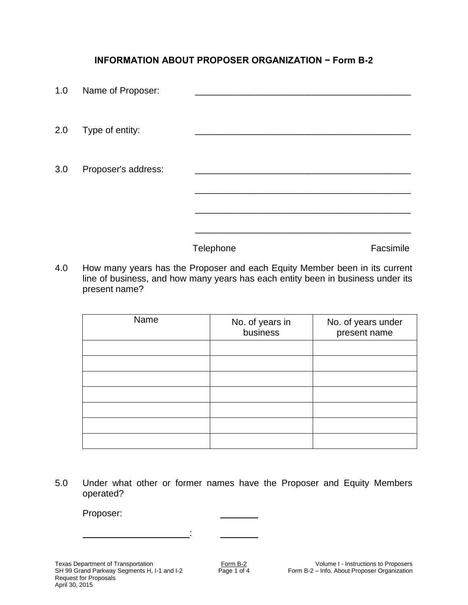# **INFORMATION ABOUT PROPOSER ORGANIZATION − Form B-2**

| 1.0 | Name of Proposer:   |           |           |
|-----|---------------------|-----------|-----------|
| 2.0 | Type of entity:     |           |           |
| 3.0 | Proposer's address: |           |           |
|     |                     | Telephone | Facsimile |

4.0 How many years has the Proposer and each Equity Member been in its current line of business, and how many years has each entity been in business under its present name?

| Name | No. of years in<br>business | No. of years under<br>present name |
|------|-----------------------------|------------------------------------|
|      |                             |                                    |
|      |                             |                                    |
|      |                             |                                    |
|      |                             |                                    |
|      |                             |                                    |
|      |                             |                                    |
|      |                             |                                    |

5.0 Under what other or former names have the Proposer and Equity Members operated?

Proposer:

<u>: Alexander Alexander (Alexander Alexander Alexander Alexander Alexander Alexander Alexander Alexander Alexander (</u>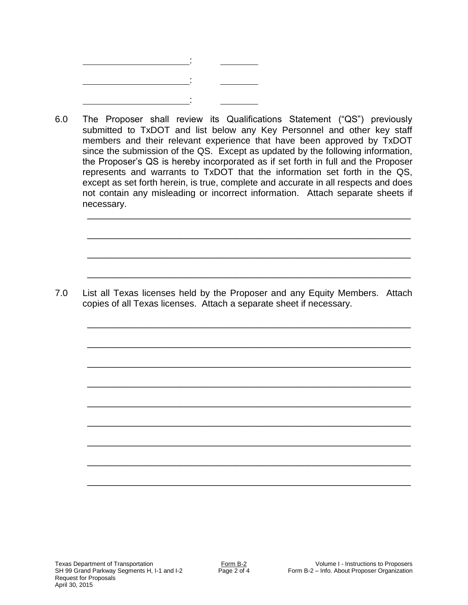

6.0 The Proposer shall review its Qualifications Statement ("QS") previously submitted to TxDOT and list below any Key Personnel and other key staff members and their relevant experience that have been approved by TxDOT since the submission of the QS. Except as updated by the following information, the Proposer's QS is hereby incorporated as if set forth in full and the Proposer represents and warrants to TxDOT that the information set forth in the QS, except as set forth herein, is true, complete and accurate in all respects and does not contain any misleading or incorrect information. Attach separate sheets if necessary. \_\_\_\_\_\_\_\_\_\_\_\_\_\_\_\_\_\_\_\_\_\_\_\_\_\_\_\_\_\_\_\_\_\_\_\_\_\_\_\_\_\_\_\_\_\_\_\_\_\_\_\_\_\_\_\_\_\_\_\_\_\_\_

7.0 List all Texas licenses held by the Proposer and any Equity Members. Attach copies of all Texas licenses. Attach a separate sheet if necessary.

\_\_\_\_\_\_\_\_\_\_\_\_\_\_\_\_\_\_\_\_\_\_\_\_\_\_\_\_\_\_\_\_\_\_\_\_\_\_\_\_\_\_\_\_\_\_\_\_\_\_\_\_\_\_\_\_\_\_\_\_\_\_\_

\_\_\_\_\_\_\_\_\_\_\_\_\_\_\_\_\_\_\_\_\_\_\_\_\_\_\_\_\_\_\_\_\_\_\_\_\_\_\_\_\_\_\_\_\_\_\_\_\_\_\_\_\_\_\_\_\_\_\_\_\_\_\_

\_\_\_\_\_\_\_\_\_\_\_\_\_\_\_\_\_\_\_\_\_\_\_\_\_\_\_\_\_\_\_\_\_\_\_\_\_\_\_\_\_\_\_\_\_\_\_\_\_\_\_\_\_\_\_\_\_\_\_\_\_\_\_

\_\_\_\_\_\_\_\_\_\_\_\_\_\_\_\_\_\_\_\_\_\_\_\_\_\_\_\_\_\_\_\_\_\_\_\_\_\_\_\_\_\_\_\_\_\_\_\_\_\_\_\_\_\_\_\_\_\_\_\_\_\_\_

\_\_\_\_\_\_\_\_\_\_\_\_\_\_\_\_\_\_\_\_\_\_\_\_\_\_\_\_\_\_\_\_\_\_\_\_\_\_\_\_\_\_\_\_\_\_\_\_\_\_\_\_\_\_\_\_\_\_\_\_\_\_\_

\_\_\_\_\_\_\_\_\_\_\_\_\_\_\_\_\_\_\_\_\_\_\_\_\_\_\_\_\_\_\_\_\_\_\_\_\_\_\_\_\_\_\_\_\_\_\_\_\_\_\_\_\_\_\_\_\_\_\_\_\_\_\_

\_\_\_\_\_\_\_\_\_\_\_\_\_\_\_\_\_\_\_\_\_\_\_\_\_\_\_\_\_\_\_\_\_\_\_\_\_\_\_\_\_\_\_\_\_\_\_\_\_\_\_\_\_\_\_\_\_\_\_\_\_\_\_

\_\_\_\_\_\_\_\_\_\_\_\_\_\_\_\_\_\_\_\_\_\_\_\_\_\_\_\_\_\_\_\_\_\_\_\_\_\_\_\_\_\_\_\_\_\_\_\_\_\_\_\_\_\_\_\_\_\_\_\_\_\_\_

\_\_\_\_\_\_\_\_\_\_\_\_\_\_\_\_\_\_\_\_\_\_\_\_\_\_\_\_\_\_\_\_\_\_\_\_\_\_\_\_\_\_\_\_\_\_\_\_\_\_\_\_\_\_\_\_\_\_\_\_\_\_\_

\_\_\_\_\_\_\_\_\_\_\_\_\_\_\_\_\_\_\_\_\_\_\_\_\_\_\_\_\_\_\_\_\_\_\_\_\_\_\_\_\_\_\_\_\_\_\_\_\_\_\_\_\_\_\_\_\_\_\_\_\_\_\_

\_\_\_\_\_\_\_\_\_\_\_\_\_\_\_\_\_\_\_\_\_\_\_\_\_\_\_\_\_\_\_\_\_\_\_\_\_\_\_\_\_\_\_\_\_\_\_\_\_\_\_\_\_\_\_\_\_\_\_\_\_\_\_

\_\_\_\_\_\_\_\_\_\_\_\_\_\_\_\_\_\_\_\_\_\_\_\_\_\_\_\_\_\_\_\_\_\_\_\_\_\_\_\_\_\_\_\_\_\_\_\_\_\_\_\_\_\_\_\_\_\_\_\_\_\_\_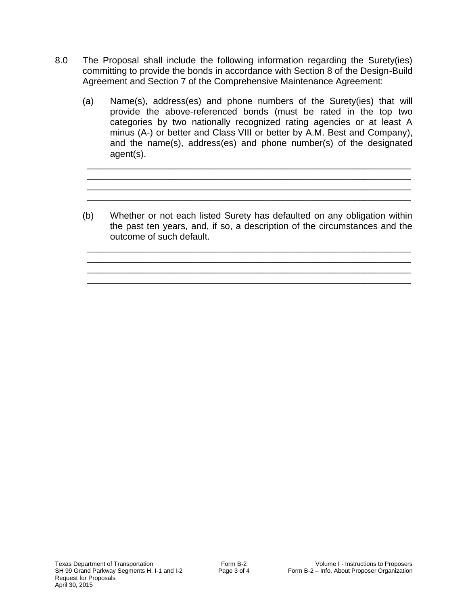- 8.0 The Proposal shall include the following information regarding the Surety(ies) committing to provide the bonds in accordance with Section 8 of the Design-Build Agreement and Section 7 of the Comprehensive Maintenance Agreement:
	- (a) Name(s), address(es) and phone numbers of the Surety(ies) that will provide the above-referenced bonds (must be rated in the top two categories by two nationally recognized rating agencies or at least A minus (A-) or better and Class VIII or better by A.M. Best and Company), and the name(s), address(es) and phone number(s) of the designated agent(s).

\_\_\_\_\_\_\_\_\_\_\_\_\_\_\_\_\_\_\_\_\_\_\_\_\_\_\_\_\_\_\_\_\_\_\_\_\_\_\_\_\_\_\_\_\_\_\_\_\_\_\_\_\_\_\_\_\_\_\_\_\_\_\_ \_\_\_\_\_\_\_\_\_\_\_\_\_\_\_\_\_\_\_\_\_\_\_\_\_\_\_\_\_\_\_\_\_\_\_\_\_\_\_\_\_\_\_\_\_\_\_\_\_\_\_\_\_\_\_\_\_\_\_\_\_\_\_ \_\_\_\_\_\_\_\_\_\_\_\_\_\_\_\_\_\_\_\_\_\_\_\_\_\_\_\_\_\_\_\_\_\_\_\_\_\_\_\_\_\_\_\_\_\_\_\_\_\_\_\_\_\_\_\_\_\_\_\_\_\_\_ \_\_\_\_\_\_\_\_\_\_\_\_\_\_\_\_\_\_\_\_\_\_\_\_\_\_\_\_\_\_\_\_\_\_\_\_\_\_\_\_\_\_\_\_\_\_\_\_\_\_\_\_\_\_\_\_\_\_\_\_\_\_\_

(b) Whether or not each listed Surety has defaulted on any obligation within the past ten years, and, if so, a description of the circumstances and the outcome of such default.

\_\_\_\_\_\_\_\_\_\_\_\_\_\_\_\_\_\_\_\_\_\_\_\_\_\_\_\_\_\_\_\_\_\_\_\_\_\_\_\_\_\_\_\_\_\_\_\_\_\_\_\_\_\_\_\_\_\_\_\_\_\_\_ \_\_\_\_\_\_\_\_\_\_\_\_\_\_\_\_\_\_\_\_\_\_\_\_\_\_\_\_\_\_\_\_\_\_\_\_\_\_\_\_\_\_\_\_\_\_\_\_\_\_\_\_\_\_\_\_\_\_\_\_\_\_\_ \_\_\_\_\_\_\_\_\_\_\_\_\_\_\_\_\_\_\_\_\_\_\_\_\_\_\_\_\_\_\_\_\_\_\_\_\_\_\_\_\_\_\_\_\_\_\_\_\_\_\_\_\_\_\_\_\_\_\_\_\_\_\_ \_\_\_\_\_\_\_\_\_\_\_\_\_\_\_\_\_\_\_\_\_\_\_\_\_\_\_\_\_\_\_\_\_\_\_\_\_\_\_\_\_\_\_\_\_\_\_\_\_\_\_\_\_\_\_\_\_\_\_\_\_\_\_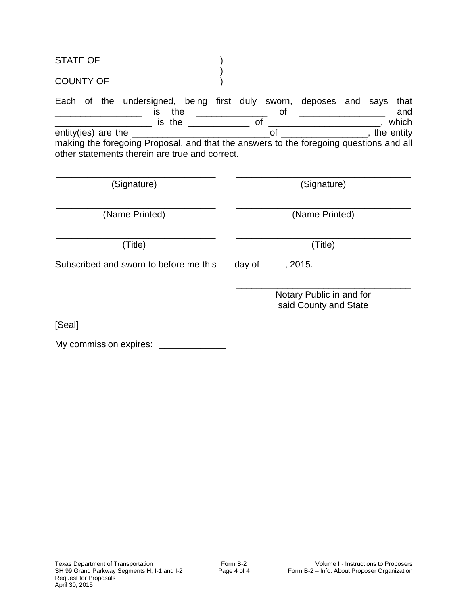| STATE OF _________________________                                 |                                                                                                                                                                                                                                                                                                               |
|--------------------------------------------------------------------|---------------------------------------------------------------------------------------------------------------------------------------------------------------------------------------------------------------------------------------------------------------------------------------------------------------|
| COUNTY OF _____________________                                    |                                                                                                                                                                                                                                                                                                               |
|                                                                    | Each of the undersigned, being first duly sworn, deposes and says that<br>is the <u>contract of</u> the contract of the contract of the contract of the contract of the contract of the contract of the contract of the contract of the contract of the contract of the contract of the contract of the contr |
|                                                                    |                                                                                                                                                                                                                                                                                                               |
| other statements therein are true and correct.                     | making the foregoing Proposal, and that the answers to the foregoing questions and all                                                                                                                                                                                                                        |
| (Signature)                                                        | (Signature)                                                                                                                                                                                                                                                                                                   |
| (Name Printed)                                                     | (Name Printed)                                                                                                                                                                                                                                                                                                |
| (Title)                                                            | (Title)                                                                                                                                                                                                                                                                                                       |
| Subscribed and sworn to before me this <u>queeday</u> of saccents. |                                                                                                                                                                                                                                                                                                               |
|                                                                    | Notary Public in and for<br>said County and State                                                                                                                                                                                                                                                             |
|                                                                    |                                                                                                                                                                                                                                                                                                               |

[Seal]

My commission expires: \_\_\_\_\_\_\_\_\_\_\_\_\_\_\_\_\_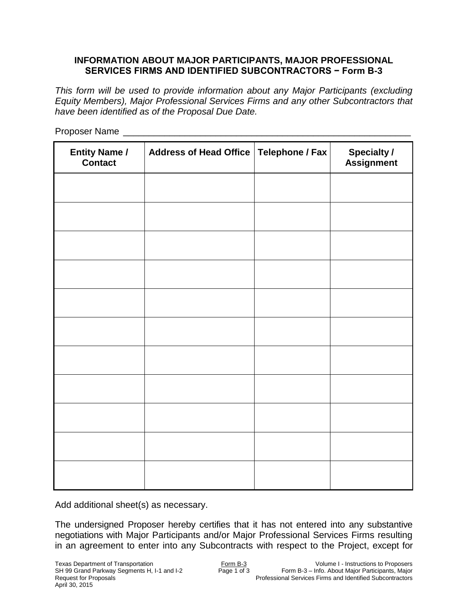#### **INFORMATION ABOUT MAJOR PARTICIPANTS, MAJOR PROFESSIONAL SERVICES FIRMS AND IDENTIFIED SUBCONTRACTORS − Form B-3**

*This form will be used to provide information about any Major Participants (excluding Equity Members), Major Professional Services Firms and any other Subcontractors that have been identified as of the Proposal Due Date.*

| <b>Entity Name /</b><br><b>Contact</b> | <b>Address of Head Office</b> | Telephone / Fax | <b>Specialty /</b><br><b>Assignment</b> |
|----------------------------------------|-------------------------------|-----------------|-----------------------------------------|
|                                        |                               |                 |                                         |
|                                        |                               |                 |                                         |
|                                        |                               |                 |                                         |
|                                        |                               |                 |                                         |
|                                        |                               |                 |                                         |
|                                        |                               |                 |                                         |
|                                        |                               |                 |                                         |
|                                        |                               |                 |                                         |
|                                        |                               |                 |                                         |
|                                        |                               |                 |                                         |
|                                        |                               |                 |                                         |

Proposer Name

Add additional sheet(s) as necessary.

The undersigned Proposer hereby certifies that it has not entered into any substantive negotiations with Major Participants and/or Major Professional Services Firms resulting in an agreement to enter into any Subcontracts with respect to the Project, except for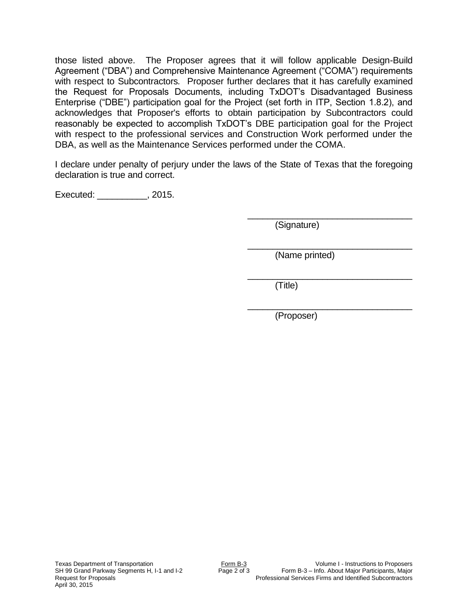those listed above. The Proposer agrees that it will follow applicable Design-Build Agreement ("DBA") and Comprehensive Maintenance Agreement ("COMA") requirements with respect to Subcontractors*.* Proposer further declares that it has carefully examined the Request for Proposals Documents, including TxDOT's Disadvantaged Business Enterprise ("DBE") participation goal for the Project (set forth in ITP, Section 1.8.2), and acknowledges that Proposer's efforts to obtain participation by Subcontractors could reasonably be expected to accomplish TxDOT's DBE participation goal for the Project with respect to the professional services and Construction Work performed under the DBA, as well as the Maintenance Services performed under the COMA.

I declare under penalty of perjury under the laws of the State of Texas that the foregoing declaration is true and correct.

Executed: \_\_\_\_\_\_\_\_\_\_, 2015.

\_\_\_\_\_\_\_\_\_\_\_\_\_\_\_\_\_\_\_\_\_\_\_\_\_\_\_\_\_\_\_\_\_ (Signature)

(Name printed)

\_\_\_\_\_\_\_\_\_\_\_\_\_\_\_\_\_\_\_\_\_\_\_\_\_\_\_\_\_\_\_\_\_

\_\_\_\_\_\_\_\_\_\_\_\_\_\_\_\_\_\_\_\_\_\_\_\_\_\_\_\_\_\_\_\_\_ (Title)

\_\_\_\_\_\_\_\_\_\_\_\_\_\_\_\_\_\_\_\_\_\_\_\_\_\_\_\_\_\_\_\_\_ (Proposer)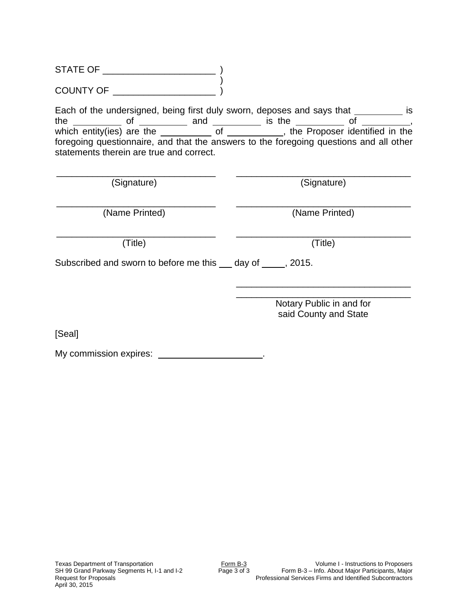| <b>STATE OF</b>  |  |
|------------------|--|
|                  |  |
| <b>COUNTY OF</b> |  |

Each of the undersigned, being first duly sworn, deposes and says that \_\_\_\_\_\_\_\_\_\_ is the <u>error of  $\frac{1}{\sqrt{1-\frac{1}{\sqrt{1-\frac{1}{\sqrt{1-\frac{1}{\sqrt{1-\frac{1}{\sqrt{1-\frac{1}{\sqrt{1-\frac{1}{\sqrt{1-\frac{1}{\sqrt{1-\frac{1}{\sqrt{1-\frac{1}{\sqrt{1-\frac{1}{\sqrt{1-\frac{1}{\sqrt{1-\frac{1}{\sqrt{1-\frac{1}{\sqrt{1-\frac{1}{\sqrt{1-\frac{1}{\sqrt{1-\frac{1}{\sqrt{1-\frac{1}{\sqrt{1-\frac{1}{\sqrt{1-\frac{1}{\sqrt{1-\frac{1}{\sqrt{1-\frac{1}{\sqrt{1-\frac{1}{\sqrt{$ which entity(ies) are the  $\frac{1}{\sqrt{1-\frac{1}{\sqrt{1-\frac{1}{\sqrt{1-\frac{1}{\sqrt{1-\frac{1}{\sqrt{1-\frac{1}{\sqrt{1-\frac{1}{\sqrt{1-\frac{1}{\sqrt{1-\frac{1}{\sqrt{1-\frac{1}{\sqrt{1-\frac{1}{\sqrt{1-\frac{1}{\sqrt{1-\frac{1}{\sqrt{1-\frac{1}{\sqrt{1-\frac{1}{\sqrt{1-\frac{1}{\sqrt{1-\frac{1}{\sqrt{1-\frac{1}{\sqrt{1-\frac{1}{\sqrt{1-\frac{1}{\sqrt{1-\frac{1}{\sqrt{1-\frac{1}{$ foregoing questionnaire, and that the answers to the foregoing questions and all other statements therein are true and correct.

| (Signature)                                              | (Signature)                                       |
|----------------------------------------------------------|---------------------------------------------------|
| (Name Printed)                                           | (Name Printed)                                    |
| (Title)                                                  | (Title)                                           |
| Subscribed and sworn to before me this 1 day of 1, 2015. |                                                   |
|                                                          |                                                   |
|                                                          | Notary Public in and for<br>said County and State |
| [Seal]                                                   |                                                   |

My commission expires: \_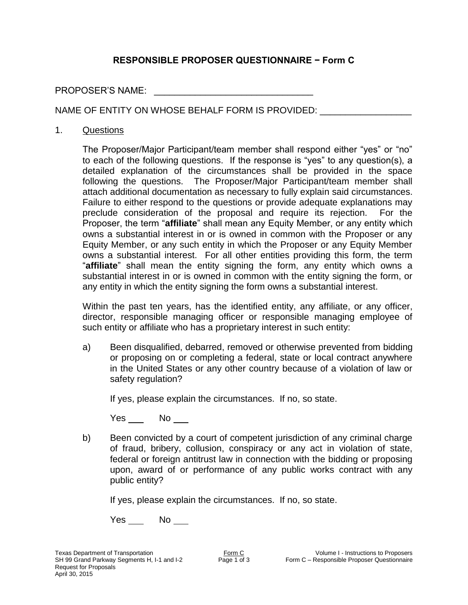# **RESPONSIBLE PROPOSER QUESTIONNAIRE − Form C**

#### PROPOSER'S NAME:

#### NAME OF ENTITY ON WHOSE BEHALF FORM IS PROVIDED:

#### 1. Questions

The Proposer/Major Participant/team member shall respond either "yes" or "no" to each of the following questions. If the response is "yes" to any question(s), a detailed explanation of the circumstances shall be provided in the space following the questions. The Proposer/Major Participant/team member shall attach additional documentation as necessary to fully explain said circumstances. Failure to either respond to the questions or provide adequate explanations may preclude consideration of the proposal and require its rejection. For the Proposer, the term "**affiliate**" shall mean any Equity Member, or any entity which owns a substantial interest in or is owned in common with the Proposer or any Equity Member, or any such entity in which the Proposer or any Equity Member owns a substantial interest. For all other entities providing this form, the term "**affiliate**" shall mean the entity signing the form, any entity which owns a substantial interest in or is owned in common with the entity signing the form, or any entity in which the entity signing the form owns a substantial interest.

Within the past ten years, has the identified entity, any affiliate, or any officer, director, responsible managing officer or responsible managing employee of such entity or affiliate who has a proprietary interest in such entity:

a) Been disqualified, debarred, removed or otherwise prevented from bidding or proposing on or completing a federal, state or local contract anywhere in the United States or any other country because of a violation of law or safety regulation?

If yes, please explain the circumstances. If no, so state.

Yes No

b) Been convicted by a court of competent jurisdiction of any criminal charge of fraud, bribery, collusion, conspiracy or any act in violation of state, federal or foreign antitrust law in connection with the bidding or proposing upon, award of or performance of any public works contract with any public entity?

If yes, please explain the circumstances. If no, so state.

Yes No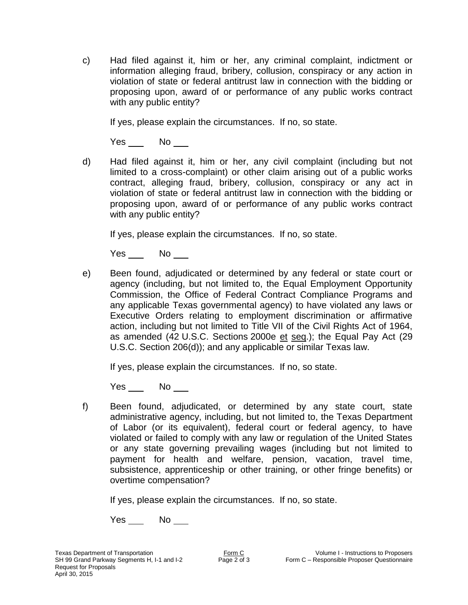c) Had filed against it, him or her, any criminal complaint, indictment or information alleging fraud, bribery, collusion, conspiracy or any action in violation of state or federal antitrust law in connection with the bidding or proposing upon, award of or performance of any public works contract with any public entity?

If yes, please explain the circumstances. If no, so state.

Yes No

d) Had filed against it, him or her, any civil complaint (including but not limited to a cross-complaint) or other claim arising out of a public works contract, alleging fraud, bribery, collusion, conspiracy or any act in violation of state or federal antitrust law in connection with the bidding or proposing upon, award of or performance of any public works contract with any public entity?

If yes, please explain the circumstances. If no, so state.

Yes No

e) Been found, adjudicated or determined by any federal or state court or agency (including, but not limited to, the Equal Employment Opportunity Commission, the Office of Federal Contract Compliance Programs and any applicable Texas governmental agency) to have violated any laws or Executive Orders relating to employment discrimination or affirmative action, including but not limited to Title VII of the Civil Rights Act of 1964, as amended (42 U.S.C. Sections 2000e et seq.); the Equal Pay Act (29 U.S.C. Section 206(d)); and any applicable or similar Texas law.

If yes, please explain the circumstances. If no, so state.

Yes No

f) Been found, adjudicated, or determined by any state court, state administrative agency, including, but not limited to, the Texas Department of Labor (or its equivalent), federal court or federal agency, to have violated or failed to comply with any law or regulation of the United States or any state governing prevailing wages (including but not limited to payment for health and welfare, pension, vacation, travel time, subsistence, apprenticeship or other training, or other fringe benefits) or overtime compensation?

If yes, please explain the circumstances. If no, so state.

Yes No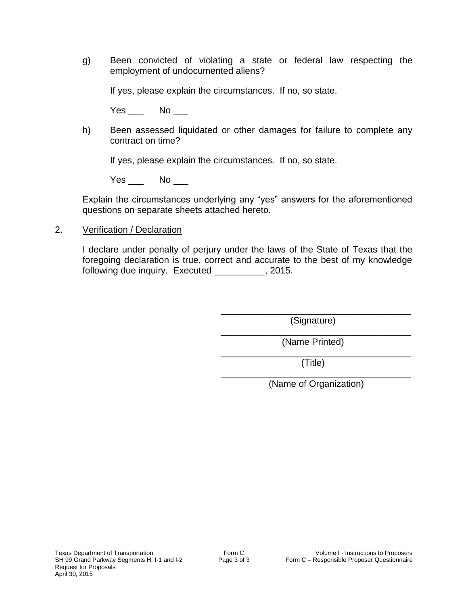g) Been convicted of violating a state or federal law respecting the employment of undocumented aliens?

If yes, please explain the circumstances. If no, so state.

Yes No

h) Been assessed liquidated or other damages for failure to complete any contract on time?

If yes, please explain the circumstances. If no, so state.

 $Yes$  No  $\_\_$ 

Explain the circumstances underlying any "yes" answers for the aforementioned questions on separate sheets attached hereto.

#### 2. Verification / Declaration

I declare under penalty of perjury under the laws of the State of Texas that the foregoing declaration is true, correct and accurate to the best of my knowledge following due inquiry. Executed \_\_\_\_\_\_\_\_\_\_, 2015.

> \_\_\_\_\_\_\_\_\_\_\_\_\_\_\_\_\_\_\_\_\_\_\_\_\_\_\_\_\_\_\_\_\_\_\_\_\_ (Signature)

> \_\_\_\_\_\_\_\_\_\_\_\_\_\_\_\_\_\_\_\_\_\_\_\_\_\_\_\_\_\_\_\_\_\_\_\_\_ (Name Printed)

> \_\_\_\_\_\_\_\_\_\_\_\_\_\_\_\_\_\_\_\_\_\_\_\_\_\_\_\_\_\_\_\_\_\_\_\_\_ (Title)

> \_\_\_\_\_\_\_\_\_\_\_\_\_\_\_\_\_\_\_\_\_\_\_\_\_\_\_\_\_\_\_\_\_\_\_\_\_ (Name of Organization)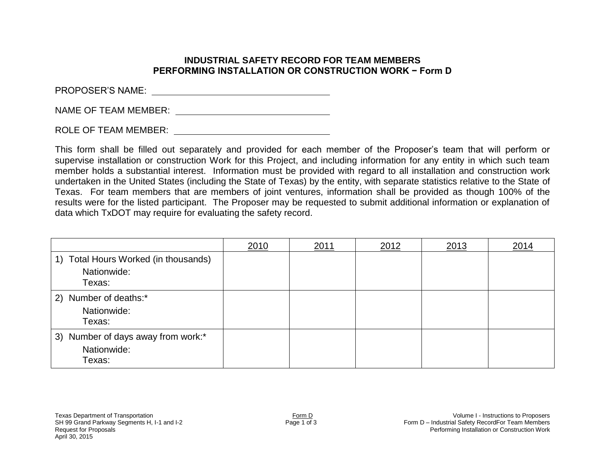#### **INDUSTRIAL SAFETY RECORD FOR TEAM MEMBERS PERFORMING INSTALLATION OR CONSTRUCTION WORK − Form D**

PROPOSER'S NAME:

NAME OF TEAM MEMBER:

ROLE OF TEAM MEMBER:

This form shall be filled out separately and provided for each member of the Proposer's team that will perform or supervise installation or construction Work for this Project, and including information for any entity in which such team member holds a substantial interest. Information must be provided with regard to all installation and construction work undertaken in the United States (including the State of Texas) by the entity, with separate statistics relative to the State of Texas. For team members that are members of joint ventures, information shall be provided as though 100% of the results were for the listed participant. The Proposer may be requested to submit additional information or explanation of data which TxDOT may require for evaluating the safety record.

|                                                               | 2010 | 2011 | 2012 | 2013 | 2014 |
|---------------------------------------------------------------|------|------|------|------|------|
| 1) Total Hours Worked (in thousands)<br>Nationwide:<br>Texas: |      |      |      |      |      |
| 2) Number of deaths:*<br>Nationwide:<br>Texas:                |      |      |      |      |      |
| 3) Number of days away from work:*<br>Nationwide:<br>Texas:   |      |      |      |      |      |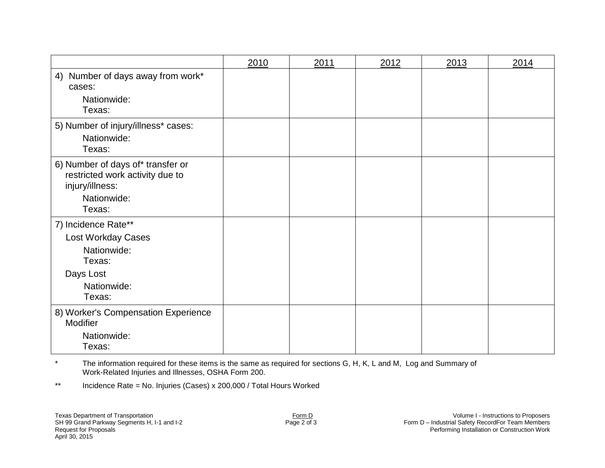|                                                                                                                  | 2010 | 2011 | 2012 | 2013 | 2014 |
|------------------------------------------------------------------------------------------------------------------|------|------|------|------|------|
| 4) Number of days away from work*<br>cases:<br>Nationwide:<br>Texas:                                             |      |      |      |      |      |
| 5) Number of injury/illness* cases:<br>Nationwide:<br>Texas:                                                     |      |      |      |      |      |
| 6) Number of days of* transfer or<br>restricted work activity due to<br>injury/illness:<br>Nationwide:<br>Texas: |      |      |      |      |      |
| 7) Incidence Rate**<br>Lost Workday Cases<br>Nationwide:<br>Texas:<br>Days Lost<br>Nationwide:<br>Texas:         |      |      |      |      |      |
| 8) Worker's Compensation Experience<br><b>Modifier</b><br>Nationwide:<br>Texas:                                  |      |      |      |      |      |

\* The information required for these items is the same as required for sections G, H, K, L and M, Log and Summary of Work-Related Injuries and Illnesses, OSHA Form 200.

\*\* Incidence Rate = No. Injuries (Cases) x 200,000 / Total Hours Worked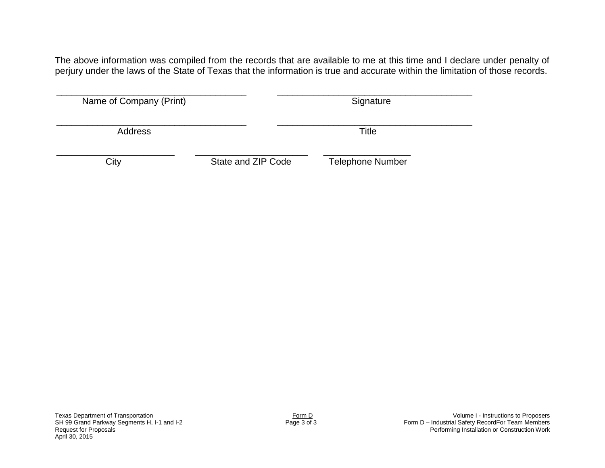The above information was compiled from the records that are available to me at this time and I declare under penalty of perjury under the laws of the State of Texas that the information is true and accurate within the limitation of those records.

| Name of Company (Print) |                    | Signature               |  |
|-------------------------|--------------------|-------------------------|--|
| Address                 |                    | Title                   |  |
| City                    | State and ZIP Code | <b>Telephone Number</b> |  |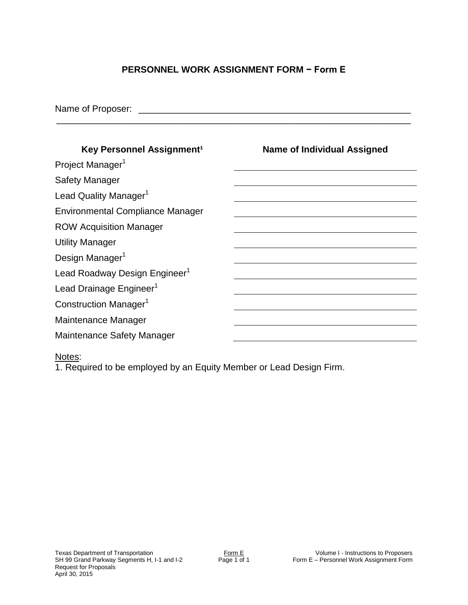# **PERSONNEL WORK ASSIGNMENT FORM − Form E**

\_\_\_\_\_\_\_\_\_\_\_\_\_\_\_\_\_\_\_\_\_\_\_\_\_\_\_\_\_\_\_\_\_\_\_\_\_\_\_\_\_\_\_\_\_\_\_\_\_\_\_\_\_\_\_\_\_\_\_\_\_\_\_\_\_\_\_\_\_

Name of Proposer: \_\_\_\_\_\_\_\_\_\_\_\_\_\_\_\_\_\_\_\_\_\_\_\_\_\_\_\_\_\_\_\_\_\_\_\_\_\_\_\_\_\_\_\_\_\_\_\_\_\_\_\_\_

| Key Personnel Assignment <sup>1</sup>     | <b>Name of Individual Assigned</b> |
|-------------------------------------------|------------------------------------|
| Project Manager <sup>1</sup>              |                                    |
| <b>Safety Manager</b>                     |                                    |
| Lead Quality Manager <sup>1</sup>         |                                    |
| <b>Environmental Compliance Manager</b>   |                                    |
| <b>ROW Acquisition Manager</b>            |                                    |
| <b>Utility Manager</b>                    |                                    |
| Design Manager <sup>1</sup>               |                                    |
| Lead Roadway Design Engineer <sup>1</sup> |                                    |
| Lead Drainage Engineer <sup>1</sup>       |                                    |
| Construction Manager <sup>1</sup>         |                                    |
| Maintenance Manager                       |                                    |
| Maintenance Safety Manager                |                                    |

Notes:

1. Required to be employed by an Equity Member or Lead Design Firm.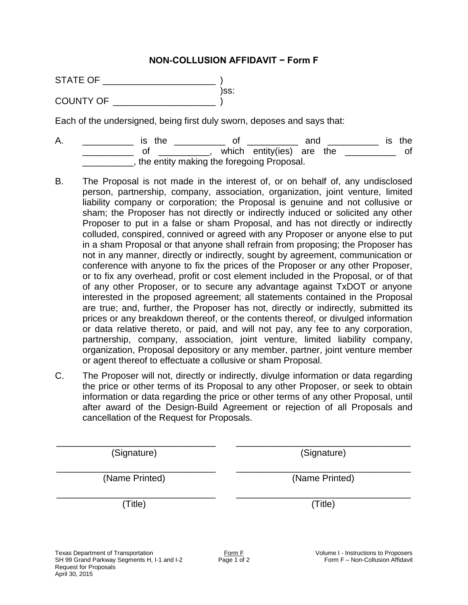#### **NON-COLLUSION AFFIDAVIT − Form F**

STATE OF \_\_\_\_\_\_\_\_\_\_\_\_\_\_\_\_\_\_\_\_\_\_ ) )ss: COUNTY OF \_\_\_\_\_\_\_\_\_\_\_\_\_\_\_\_\_\_\_\_ )

Each of the undersigned, being first duly sworn, deposes and says that:

A. \_\_\_\_\_\_\_\_\_\_ is the \_\_\_\_\_\_\_\_\_\_ of \_\_\_\_\_\_\_\_\_\_ and \_\_\_\_\_\_\_\_\_\_ is the \_\_\_\_\_\_\_\_\_\_ of \_\_\_\_\_\_\_\_\_\_, which entity(ies) are the \_\_\_\_\_\_\_\_\_\_ of **EXECUTE:** the entity making the foregoing Proposal.

- B. The Proposal is not made in the interest of, or on behalf of, any undisclosed person, partnership, company, association, organization, joint venture, limited liability company or corporation; the Proposal is genuine and not collusive or sham; the Proposer has not directly or indirectly induced or solicited any other Proposer to put in a false or sham Proposal, and has not directly or indirectly colluded, conspired, connived or agreed with any Proposer or anyone else to put in a sham Proposal or that anyone shall refrain from proposing; the Proposer has not in any manner, directly or indirectly, sought by agreement, communication or conference with anyone to fix the prices of the Proposer or any other Proposer, or to fix any overhead, profit or cost element included in the Proposal, or of that of any other Proposer, or to secure any advantage against TxDOT or anyone interested in the proposed agreement; all statements contained in the Proposal are true; and, further, the Proposer has not, directly or indirectly, submitted its prices or any breakdown thereof, or the contents thereof, or divulged information or data relative thereto, or paid, and will not pay, any fee to any corporation, partnership, company, association, joint venture, limited liability company, organization, Proposal depository or any member, partner, joint venture member or agent thereof to effectuate a collusive or sham Proposal.
- C. The Proposer will not, directly or indirectly, divulge information or data regarding the price or other terms of its Proposal to any other Proposer, or seek to obtain information or data regarding the price or other terms of any other Proposal, until after award of the Design-Build Agreement or rejection of all Proposals and cancellation of the Request for Proposals.

| (Name Printed) |
|----------------|
| (Title)        |
|                |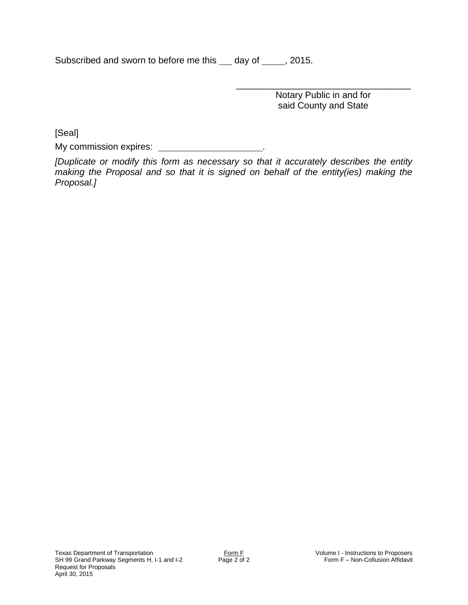Subscribed and sworn to before me this  $a$  day of  $a$ , 2015.

\_\_\_\_\_\_\_\_\_\_\_\_\_\_\_\_\_\_\_\_\_\_\_\_\_\_\_\_\_\_\_\_\_\_ Notary Public in and for said County and State

[Seal]

My commission expires: \_\_\_\_\_\_\_\_\_\_\_\_\_\_\_\_\_\_\_\_.

*[Duplicate or modify this form as necessary so that it accurately describes the entity making the Proposal and so that it is signed on behalf of the entity(ies) making the Proposal.]*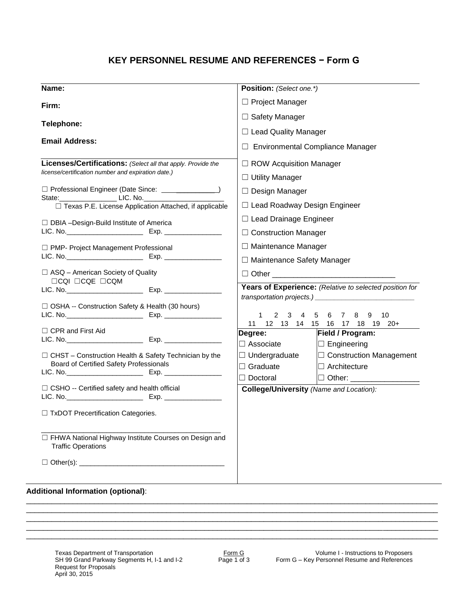# **KEY PERSONNEL RESUME AND REFERENCES − Form G**

| Name:                                                                                 | Position: (Select one.*)                                              |
|---------------------------------------------------------------------------------------|-----------------------------------------------------------------------|
| Firm:                                                                                 | $\Box$ Project Manager                                                |
| Telephone:                                                                            | $\Box$ Safety Manager                                                 |
|                                                                                       | □ Lead Quality Manager                                                |
| <b>Email Address:</b>                                                                 | □ Environmental Compliance Manager                                    |
| Licenses/Certifications: (Select all that apply. Provide the                          | $\Box$ ROW Acquisition Manager                                        |
| license/certification number and expiration date.)                                    | $\Box$ Utility Manager                                                |
| □ Professional Engineer (Date Since: ________________)<br>State: LIC. No. 2008. 2010. | $\Box$ Design Manager                                                 |
| □ Texas P.E. License Application Attached, if applicable                              | □ Lead Roadway Design Engineer                                        |
| □ DBIA -Design-Build Institute of America                                             | $\Box$ Lead Drainage Engineer                                         |
|                                                                                       | $\Box$ Construction Manager                                           |
| □ PMP- Project Management Professional                                                | □ Maintenance Manager                                                 |
|                                                                                       | □ Maintenance Safety Manager                                          |
| $\Box$ ASQ – American Society of Quality                                              |                                                                       |
| $\Box$ CQI $\Box$ CQE $\Box$ CQM                                                      | Years of Experience: (Relative to selected position for               |
| $\Box$ OSHA -- Construction Safety & Health (30 hours)                                | transportation projects.)<br><u>[</u> [11] Transportation projects.]  |
|                                                                                       | 1 2 3 4 5 6 7 8 9 10                                                  |
| $\Box$ CPR and First Aid                                                              | 11  12  13  14  15  16  17  18  19  20+<br>Degree:   Field / Program: |
|                                                                                       | $\Box$ Associate<br>$\Box$ Engineering                                |
| $\Box$ CHST – Construction Health & Safety Technician by the                          | $\Box$ Undergraduate<br>$\Box$ Construction Management                |
| Board of Certified Safety Professionals                                               | $\Box$ Graduate<br>$\Box$ Architecture                                |
|                                                                                       | □ Doctoral<br>□ Other: <u>___________</u> ______                      |
| $\Box$ CSHO -- Certified safety and health official                                   | College/University (Name and Location):                               |
|                                                                                       |                                                                       |
| $\Box$ TxDOT Precertification Categories.                                             |                                                                       |
| □ FHWA National Highway Institute Courses on Design and<br><b>Traffic Operations</b>  |                                                                       |
|                                                                                       |                                                                       |
|                                                                                       |                                                                       |

#### **Additional Information (optional)**:

 $\_$  ,  $\_$  ,  $\_$  ,  $\_$  ,  $\_$  ,  $\_$  ,  $\_$  ,  $\_$  ,  $\_$  ,  $\_$  ,  $\_$  ,  $\_$  ,  $\_$  ,  $\_$  ,  $\_$  ,  $\_$  ,  $\_$  ,  $\_$  ,  $\_$  ,  $\_$  ,  $\_$  ,  $\_$  ,  $\_$  ,  $\_$  ,  $\_$  ,  $\_$  ,  $\_$  ,  $\_$  ,  $\_$  ,  $\_$  ,  $\_$  ,  $\_$  ,  $\_$  ,  $\_$  ,  $\_$  ,  $\_$  ,  $\_$  ,  $\_$  ,  $\_$  ,  $\_$  ,  $\_$  ,  $\_$  ,  $\_$  ,  $\_$  ,  $\_$  ,  $\_$  ,  $\_$  ,  $\_$  ,  $\_$  ,  $\_$  ,  $\_$  ,  $\_$  ,  $\_$  ,  $\_$  ,  $\_$  ,  $\_$  ,  $\_$  ,  $\_$  ,  $\_$  ,  $\_$  ,  $\_$  ,  $\_$  ,  $\_$  ,  $\_$  ,  $\_$  ,  $\_$  ,  $\_$  ,  $\_$  ,  $\_$  ,  $\_$  ,  $\_$  ,  $\_$  ,  $\_$  ,  $\_$  , \_\_\_\_\_\_\_\_\_\_\_\_\_\_\_\_\_\_\_\_\_\_\_\_\_\_\_\_\_\_\_\_\_\_\_\_\_\_\_\_\_\_\_\_\_\_\_\_\_\_\_\_\_\_\_\_\_\_\_\_\_\_\_\_\_\_\_\_\_\_\_\_\_\_\_\_\_\_\_\_\_\_\_\_\_\_\_\_\_\_\_\_\_\_\_\_\_  $\_$  ,  $\_$  ,  $\_$  ,  $\_$  ,  $\_$  ,  $\_$  ,  $\_$  ,  $\_$  ,  $\_$  ,  $\_$  ,  $\_$  ,  $\_$  ,  $\_$  ,  $\_$  ,  $\_$  ,  $\_$  ,  $\_$  ,  $\_$  ,  $\_$  ,  $\_$  ,  $\_$  ,  $\_$  ,  $\_$  ,  $\_$  ,  $\_$  ,  $\_$  ,  $\_$  ,  $\_$  ,  $\_$  ,  $\_$  ,  $\_$  ,  $\_$  ,  $\_$  ,  $\_$  ,  $\_$  ,  $\_$  ,  $\_$  ,  $\_$  ,  $\_$  ,  $\_$  ,  $\_$  ,  $\_$  ,  $\_$  ,  $\_$  ,  $\_$  ,  $\_$  ,  $\_$  ,  $\_$  ,  $\_$  ,  $\_$  ,  $\_$  ,  $\_$  ,  $\_$  ,  $\_$  ,  $\_$  ,  $\_$  ,  $\_$  ,  $\_$  ,  $\_$  ,  $\_$  ,  $\_$  ,  $\_$  ,  $\_$  ,  $\_$  ,  $\_$  ,  $\_$  ,  $\_$  ,  $\_$  ,  $\_$  ,  $\_$  ,  $\_$  ,  $\_$  ,  $\_$  ,  $\_$  ,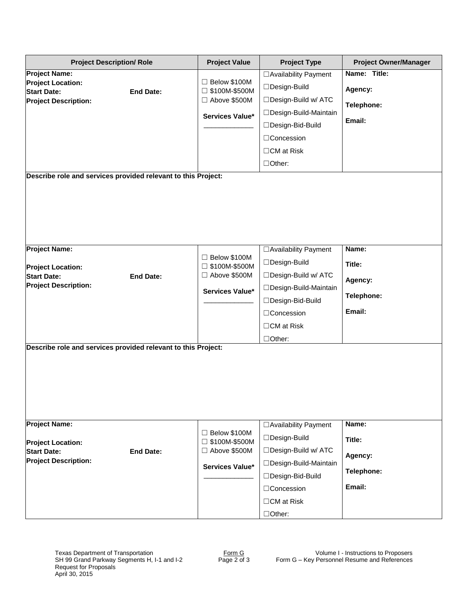| <b>Project Description/ Role</b>                                                                                                                                                           | <b>Project Value</b>                                                           | <b>Project Type</b>                                                                                                                                                 | <b>Project Owner/Manager</b>                       |
|--------------------------------------------------------------------------------------------------------------------------------------------------------------------------------------------|--------------------------------------------------------------------------------|---------------------------------------------------------------------------------------------------------------------------------------------------------------------|----------------------------------------------------|
| <b>Project Name:</b><br><b>Project Location:</b><br><b>Start Date:</b><br><b>End Date:</b><br><b>Project Description:</b><br>Describe role and services provided relevant to this Project: | □ Below \$100M<br>$\square$ \$100M-\$500M<br>□ Above \$500M<br>Services Value* | □ Availability Payment<br>□Design-Build<br>□Design-Build w/ ATC<br>□Design-Build-Maintain<br>□Design-Bid-Build<br>□Concession<br>$\Box$ CM at Risk<br>□Other:       | Name: Title:<br>Agency:<br>Telephone:<br>Email:    |
| <b>Project Name:</b><br><b>Project Location:</b><br><b>Start Date:</b><br><b>End Date:</b><br><b>Project Description:</b>                                                                  | □ Below \$100M<br>$\square$ \$100M-\$500M<br>□ Above \$500M<br>Services Value* | □ Availability Payment<br>□Design-Build<br>□Design-Build w/ ATC<br>□Design-Build-Maintain<br>□Design-Bid-Build<br>□Concession<br>$\Box$ CM at Risk                  | Name:<br>Title:<br>Agency:<br>Telephone:<br>Email: |
| Describe role and services provided relevant to this Project:                                                                                                                              |                                                                                | $\Box$ Other:                                                                                                                                                       |                                                    |
| <b>Project Name:</b><br><b>Project Location:</b><br><b>Start Date:</b><br><b>End Date:</b><br><b>Project Description:</b>                                                                  | □ Below \$100M<br>$\square$ \$100M-\$500M<br>□ Above \$500M<br>Services Value* | □ Availability Payment<br>□Design-Build<br>□Design-Build w/ ATC<br>□Design-Build-Maintain<br>□Design-Bid-Build<br>□Concession<br>$\Box$ CM at Risk<br>$\Box$ Other: | Name:<br>Title:<br>Agency:<br>Telephone:<br>Email: |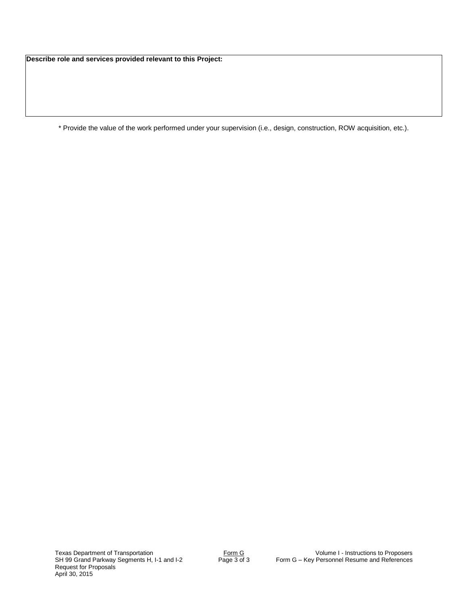**Describe role and services provided relevant to this Project:**

\* Provide the value of the work performed under your supervision (i.e., design, construction, ROW acquisition, etc.).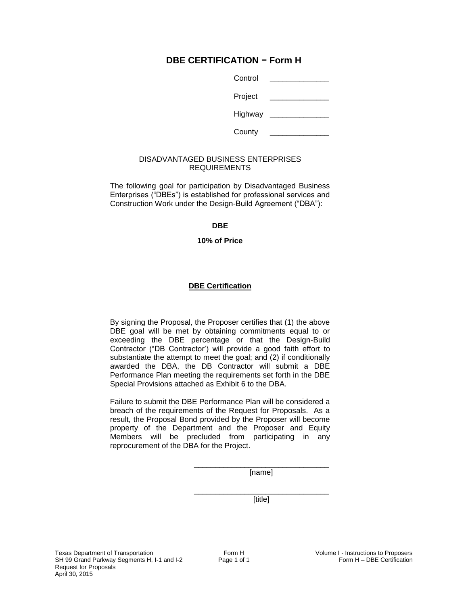#### **DBE CERTIFICATION − Form H**

| Control |  |
|---------|--|
| Project |  |
| Highway |  |

County **county** and the control of  $\sim$ 

#### DISADVANTAGED BUSINESS ENTERPRISES REQUIREMENTS

The following goal for participation by Disadvantaged Business Enterprises ("DBEs") is established for professional services and Construction Work under the Design-Build Agreement ("DBA"):

**DBE**

**10% of Price** 

#### **DBE Certification**

By signing the Proposal, the Proposer certifies that (1) the above DBE goal will be met by obtaining commitments equal to or exceeding the DBE percentage or that the Design-Build Contractor ("DB Contractor') will provide a good faith effort to substantiate the attempt to meet the goal; and (2) if conditionally awarded the DBA, the DB Contractor will submit a DBE Performance Plan meeting the requirements set forth in the DBE Special Provisions attached as Exhibit 6 to the DBA.

Failure to submit the DBE Performance Plan will be considered a breach of the requirements of the Request for Proposals. As a result, the Proposal Bond provided by the Proposer will become property of the Department and the Proposer and Equity Members will be precluded from participating in any reprocurement of the DBA for the Project.

> \_\_\_\_\_\_\_\_\_\_\_\_\_\_\_\_\_\_\_\_\_\_\_\_\_\_\_\_\_\_\_\_ [name]

> \_\_\_\_\_\_\_\_\_\_\_\_\_\_\_\_\_\_\_\_\_\_\_\_\_\_\_\_\_\_\_\_ [title]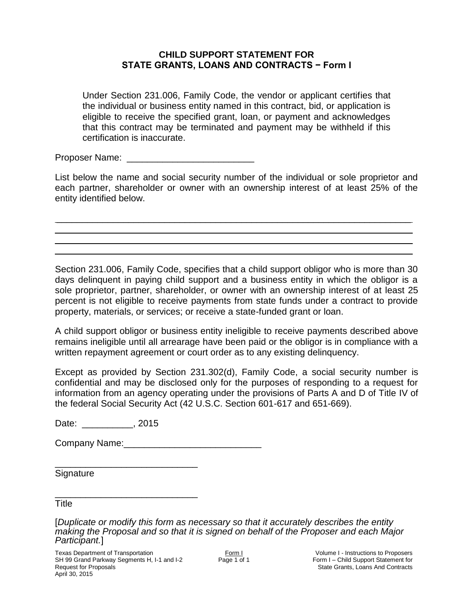#### **CHILD SUPPORT STATEMENT FOR STATE GRANTS, LOANS AND CONTRACTS − Form I**

Under Section 231.006, Family Code, the vendor or applicant certifies that the individual or business entity named in this contract, bid, or application is eligible to receive the specified grant, loan, or payment and acknowledges that this contract may be terminated and payment may be withheld if this certification is inaccurate.

Proposer Name:  $\Box$ 

List below the name and social security number of the individual or sole proprietor and each partner, shareholder or owner with an ownership interest of at least 25% of the entity identified below.

 $\_$  ,  $\_$  ,  $\_$  ,  $\_$  ,  $\_$  ,  $\_$  ,  $\_$  ,  $\_$  ,  $\_$  ,  $\_$  ,  $\_$  ,  $\_$  ,  $\_$  ,  $\_$  ,  $\_$  ,  $\_$  ,  $\_$  ,  $\_$  ,  $\_$  ,  $\_$  ,  $\_$  ,  $\_$  ,  $\_$  ,  $\_$  ,  $\_$  ,  $\_$  ,  $\_$  ,  $\_$  ,  $\_$  ,  $\_$  ,  $\_$  ,  $\_$  ,  $\_$  ,  $\_$  ,  $\_$  ,  $\_$  ,  $\_$  ,  $\_$  , and the set of the set of the set of the set of the set of the set of the set of the set of the set of the set of the set of the set of the set of the set of the set of the set of the set of the set of the set of th  $\_$  , and the set of the set of the set of the set of the set of the set of the set of the set of the set of the set of the set of the set of the set of the set of the set of the set of the set of the set of the set of th \_\_\_\_\_\_\_\_\_\_\_\_\_\_\_\_\_\_\_\_\_\_\_\_\_\_\_\_\_\_\_\_\_\_\_\_\_\_\_\_\_\_\_\_\_\_\_\_\_\_\_\_\_\_\_\_\_\_\_\_\_\_\_\_\_\_\_\_\_

Section 231.006, Family Code, specifies that a child support obligor who is more than 30 days delinquent in paying child support and a business entity in which the obligor is a sole proprietor, partner, shareholder, or owner with an ownership interest of at least 25 percent is not eligible to receive payments from state funds under a contract to provide property, materials, or services; or receive a state-funded grant or loan.

A child support obligor or business entity ineligible to receive payments described above remains ineligible until all arrearage have been paid or the obligor is in compliance with a written repayment agreement or court order as to any existing delinquency.

Except as provided by Section 231.302(d), Family Code, a social security number is confidential and may be disclosed only for the purposes of responding to a request for information from an agency operating under the provisions of Parts A and D of Title IV of the federal Social Security Act (42 U.S.C. Section 601-617 and 651-669).

Date: \_\_\_\_\_\_\_\_\_\_, 2015

Company Name:\_\_\_\_\_\_\_\_\_\_\_\_\_\_\_\_\_\_\_\_\_\_\_\_\_\_\_

Signature

\_\_\_\_\_\_\_\_\_\_\_\_\_\_\_\_\_\_\_\_\_\_\_\_\_\_\_\_ **Title** 

[*Duplicate or modify this form as necessary so that it accurately describes the entity making the Proposal and so that it is signed on behalf of the Proposer and each Major Participant.*]

\_\_\_\_\_\_\_\_\_\_\_\_\_\_\_\_\_\_\_\_\_\_\_\_\_\_\_\_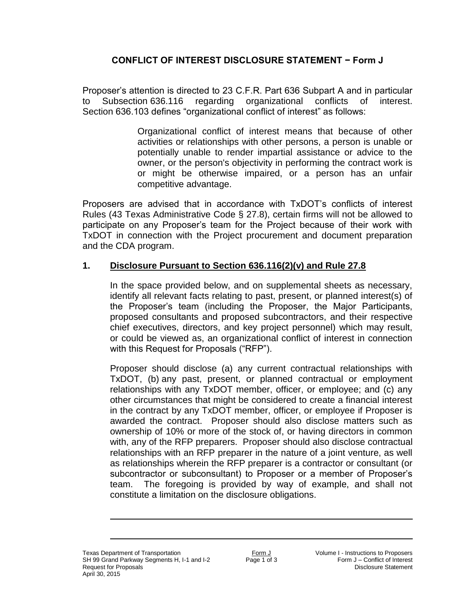# **CONFLICT OF INTEREST DISCLOSURE STATEMENT − Form J**

Proposer's attention is directed to 23 C.F.R. Part 636 Subpart A and in particular to Subsection 636.116 regarding organizational conflicts of interest. Section 636.103 defines "organizational conflict of interest" as follows:

> Organizational conflict of interest means that because of other activities or relationships with other persons, a person is unable or potentially unable to render impartial assistance or advice to the owner, or the person's objectivity in performing the contract work is or might be otherwise impaired, or a person has an unfair competitive advantage.

Proposers are advised that in accordance with TxDOT's conflicts of interest Rules (43 Texas Administrative Code § 27.8), certain firms will not be allowed to participate on any Proposer's team for the Project because of their work with TxDOT in connection with the Project procurement and document preparation and the CDA program.

#### **1. Disclosure Pursuant to Section 636.116(2)(v) and Rule 27.8**

In the space provided below, and on supplemental sheets as necessary, identify all relevant facts relating to past, present, or planned interest(s) of the Proposer's team (including the Proposer, the Major Participants, proposed consultants and proposed subcontractors, and their respective chief executives, directors, and key project personnel) which may result, or could be viewed as, an organizational conflict of interest in connection with this Request for Proposals ("RFP").

Proposer should disclose (a) any current contractual relationships with TxDOT, (b) any past, present, or planned contractual or employment relationships with any TxDOT member, officer, or employee; and (c) any other circumstances that might be considered to create a financial interest in the contract by any TxDOT member, officer, or employee if Proposer is awarded the contract. Proposer should also disclose matters such as ownership of 10% or more of the stock of, or having directors in common with, any of the RFP preparers. Proposer should also disclose contractual relationships with an RFP preparer in the nature of a joint venture, as well as relationships wherein the RFP preparer is a contractor or consultant (or subcontractor or subconsultant) to Proposer or a member of Proposer's team. The foregoing is provided by way of example, and shall not constitute a limitation on the disclosure obligations.

\_\_\_\_\_\_\_\_\_\_\_\_\_\_\_\_\_\_\_\_\_\_\_\_\_\_\_\_\_\_\_\_\_\_\_\_\_\_\_\_\_\_\_\_\_\_\_\_\_\_\_\_\_\_\_\_\_\_

\_\_\_\_\_\_\_\_\_\_\_\_\_\_\_\_\_\_\_\_\_\_\_\_\_\_\_\_\_\_\_\_\_\_\_\_\_\_\_\_\_\_\_\_\_\_\_\_\_\_\_\_\_\_\_\_\_\_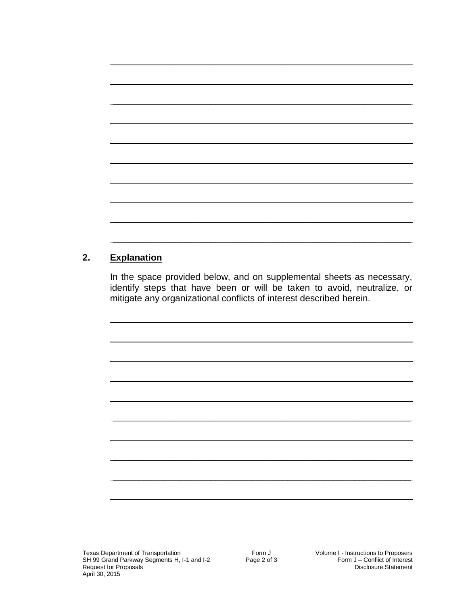#### $2.$ **Explanation**

In the space provided below, and on supplemental sheets as necessary, identify steps that have been or will be taken to avoid, neutralize, or mitigate any organizational conflicts of interest described herein.

Texas Department of Transportation<br>SH 99 Grand Parkway Segments H, I-1 and I-2 Request for Proposals April 30, 2015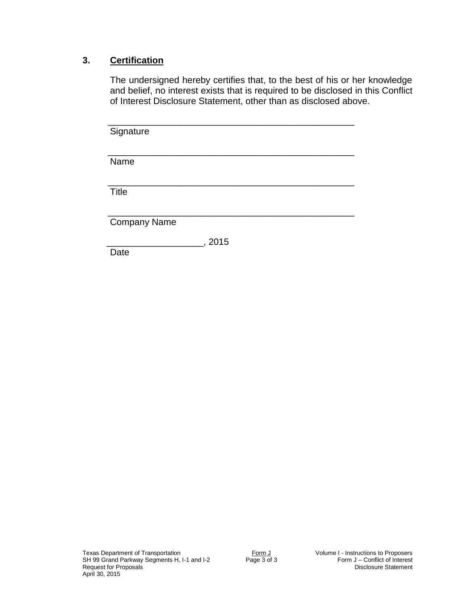# **3. Certification**

The undersigned hereby certifies that, to the best of his or her knowledge and belief, no interest exists that is required to be disclosed in this Conflict of Interest Disclosure Statement, other than as disclosed above.

| Signature           |
|---------------------|
|                     |
|                     |
| Name                |
|                     |
|                     |
|                     |
| <b>Title</b>        |
|                     |
|                     |
| <b>Company Name</b> |
|                     |
| , 2015              |
| Date                |
|                     |
|                     |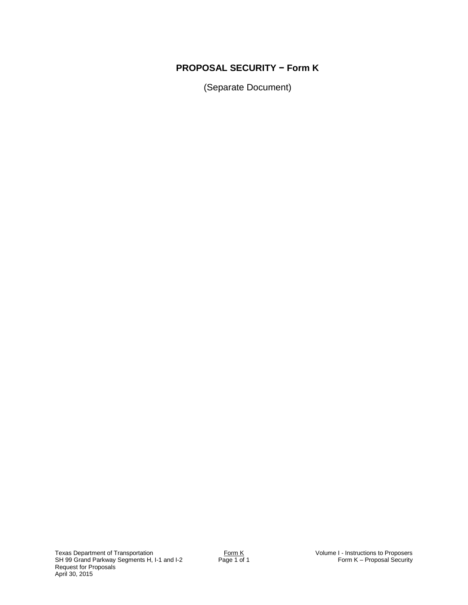# **PROPOSAL SECURITY − Form K**

(Separate Document)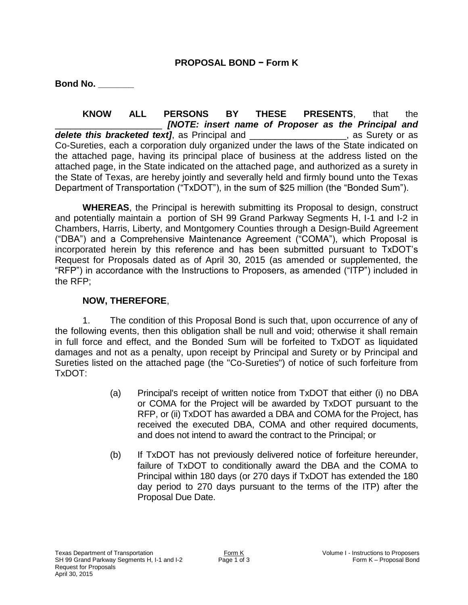#### **PROPOSAL BOND − Form K**

**Bond No. \_\_\_\_\_\_\_**

**KNOW ALL PERSONS BY THESE PRESENTS**, that the \_\_\_\_\_\_\_\_\_\_\_\_\_\_\_\_\_\_\_\_\_ *[NOTE: insert name of Proposer as the Principal and delete this bracketed text]*, as Principal and *\_\_\_\_\_\_\_\_\_\_\_\_\_\_\_\_\_\_\_\_\_*, as Surety or as Co-Sureties, each a corporation duly organized under the laws of the State indicated on the attached page, having its principal place of business at the address listed on the attached page, in the State indicated on the attached page, and authorized as a surety in the State of Texas, are hereby jointly and severally held and firmly bound unto the Texas Department of Transportation ("TxDOT"), in the sum of \$25 million (the "Bonded Sum").

**WHEREAS**, the Principal is herewith submitting its Proposal to design, construct and potentially maintain a portion of SH 99 Grand Parkway Segments H, I-1 and I-2 in Chambers, Harris, Liberty, and Montgomery Counties through a Design-Build Agreement ("DBA") and a Comprehensive Maintenance Agreement ("COMA"), which Proposal is incorporated herein by this reference and has been submitted pursuant to TxDOT's Request for Proposals dated as of April 30, 2015 (as amended or supplemented, the "RFP") in accordance with the Instructions to Proposers, as amended ("ITP") included in the RFP;

#### **NOW, THEREFORE**,

1. The condition of this Proposal Bond is such that, upon occurrence of any of the following events, then this obligation shall be null and void; otherwise it shall remain in full force and effect, and the Bonded Sum will be forfeited to TxDOT as liquidated damages and not as a penalty, upon receipt by Principal and Surety or by Principal and Sureties listed on the attached page (the "Co-Sureties") of notice of such forfeiture from TxDOT:

- (a) Principal's receipt of written notice from TxDOT that either (i) no DBA or COMA for the Project will be awarded by TxDOT pursuant to the RFP, or (ii) TxDOT has awarded a DBA and COMA for the Project, has received the executed DBA, COMA and other required documents, and does not intend to award the contract to the Principal; or
- (b) If TxDOT has not previously delivered notice of forfeiture hereunder, failure of TxDOT to conditionally award the DBA and the COMA to Principal within 180 days (or 270 days if TxDOT has extended the 180 day period to 270 days pursuant to the terms of the ITP) after the Proposal Due Date.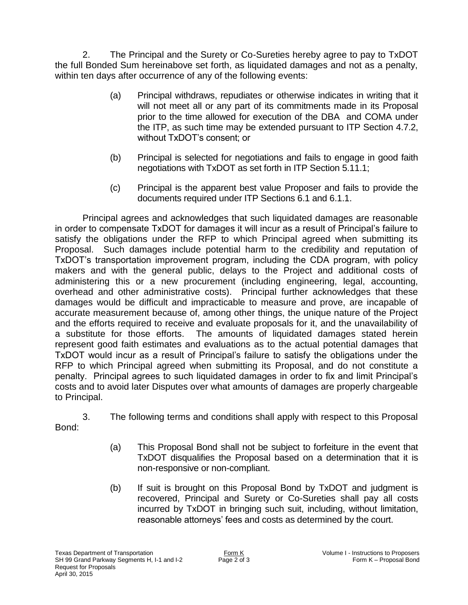2. The Principal and the Surety or Co-Sureties hereby agree to pay to TxDOT the full Bonded Sum hereinabove set forth, as liquidated damages and not as a penalty, within ten days after occurrence of any of the following events:

- (a) Principal withdraws, repudiates or otherwise indicates in writing that it will not meet all or any part of its commitments made in its Proposal prior to the time allowed for execution of the DBA and COMA under the ITP, as such time may be extended pursuant to ITP Section 4.7.2, without TxDOT's consent; or
- (b) Principal is selected for negotiations and fails to engage in good faith negotiations with TxDOT as set forth in ITP Section 5.11.1;
- (c) Principal is the apparent best value Proposer and fails to provide the documents required under ITP Sections 6.1 and 6.1.1.

Principal agrees and acknowledges that such liquidated damages are reasonable in order to compensate TxDOT for damages it will incur as a result of Principal's failure to satisfy the obligations under the RFP to which Principal agreed when submitting its Proposal. Such damages include potential harm to the credibility and reputation of TxDOT's transportation improvement program, including the CDA program, with policy makers and with the general public, delays to the Project and additional costs of administering this or a new procurement (including engineering, legal, accounting, overhead and other administrative costs). Principal further acknowledges that these damages would be difficult and impracticable to measure and prove, are incapable of accurate measurement because of, among other things, the unique nature of the Project and the efforts required to receive and evaluate proposals for it, and the unavailability of a substitute for those efforts. The amounts of liquidated damages stated herein represent good faith estimates and evaluations as to the actual potential damages that TxDOT would incur as a result of Principal's failure to satisfy the obligations under the RFP to which Principal agreed when submitting its Proposal, and do not constitute a penalty. Principal agrees to such liquidated damages in order to fix and limit Principal's costs and to avoid later Disputes over what amounts of damages are properly chargeable to Principal.

- 3. The following terms and conditions shall apply with respect to this Proposal Bond:
	- (a) This Proposal Bond shall not be subject to forfeiture in the event that TxDOT disqualifies the Proposal based on a determination that it is non-responsive or non-compliant.
	- (b) If suit is brought on this Proposal Bond by TxDOT and judgment is recovered, Principal and Surety or Co-Sureties shall pay all costs incurred by TxDOT in bringing such suit, including, without limitation, reasonable attorneys' fees and costs as determined by the court.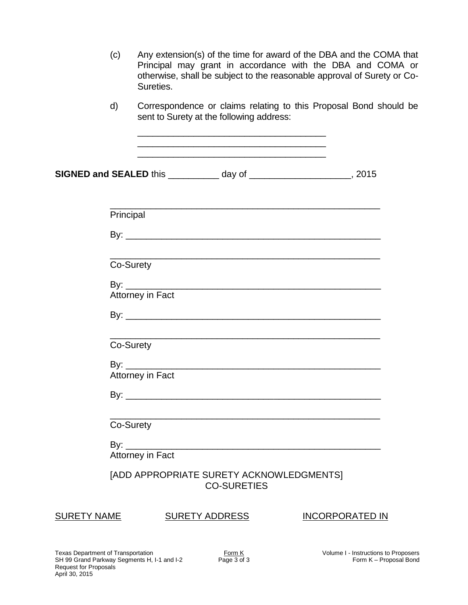- (c) Any extension(s) of the time for award of the DBA and the COMA that Principal may grant in accordance with the DBA and COMA or otherwise, shall be subject to the reasonable approval of Surety or Co-Sureties.
- d) Correspondence or claims relating to this Proposal Bond should be sent to Surety at the following address:

|                    | the control of the control of the control of the control of the control of the control of                                                |                        |
|--------------------|------------------------------------------------------------------------------------------------------------------------------------------|------------------------|
|                    |                                                                                                                                          |                        |
|                    | Principal                                                                                                                                |                        |
|                    |                                                                                                                                          |                        |
|                    | Co-Surety                                                                                                                                |                        |
|                    | Attorney in Fact                                                                                                                         |                        |
|                    |                                                                                                                                          |                        |
|                    | Co-Surety                                                                                                                                |                        |
|                    | <u> 1980 - Jan James James Barnett, amerikan bizko bat da bat da bat da bat da bat da bat da bat da bat da bat d</u><br>Attorney in Fact |                        |
|                    |                                                                                                                                          |                        |
|                    | Co-Surety                                                                                                                                |                        |
|                    | Attorney in Fact                                                                                                                         |                        |
|                    | [ADD APPROPRIATE SURETY ACKNOWLEDGMENTS]<br><b>CO-SURETIES</b>                                                                           |                        |
| <b>SURETY NAME</b> | <b>SURETY ADDRESS</b>                                                                                                                    | <b>INCORPORATED IN</b> |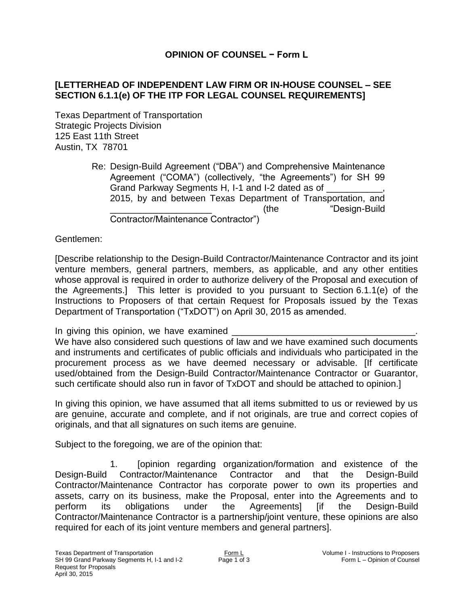# **OPINION OF COUNSEL − Form L**

#### **[LETTERHEAD OF INDEPENDENT LAW FIRM OR IN-HOUSE COUNSEL – SEE SECTION 6.1.1(e) OF THE ITP FOR LEGAL COUNSEL REQUIREMENTS]**

Texas Department of Transportation Strategic Projects Division 125 East 11th Street Austin, TX 78701

> Re: Design-Build Agreement ("DBA") and Comprehensive Maintenance Agreement ("COMA") (collectively, "the Agreements") for SH 99 Grand Parkway Segments H, I-1 and I-2 dated as of \_\_\_\_\_\_\_\_\_\_\_\_\_\_\_\_\_\_\_\_\_\_\_\_\_\_\_\_\_\_\_ 2015, by and between Texas Department of Transportation, and \_\_\_\_\_\_\_\_\_\_\_\_\_\_\_\_\_\_\_\_ (the "Design-Build Contractor/Maintenance Contractor")

Gentlemen:

[Describe relationship to the Design-Build Contractor/Maintenance Contractor and its joint venture members, general partners, members, as applicable, and any other entities whose approval is required in order to authorize delivery of the Proposal and execution of the Agreements.] This letter is provided to you pursuant to Section 6.1.1(e) of the Instructions to Proposers of that certain Request for Proposals issued by the Texas Department of Transportation ("TxDOT") on April 30, 2015 as amended.

In giving this opinion, we have examined

We have also considered such questions of law and we have examined such documents and instruments and certificates of public officials and individuals who participated in the procurement process as we have deemed necessary or advisable. [If certificate used/obtained from the Design-Build Contractor/Maintenance Contractor or Guarantor, such certificate should also run in favor of TxDOT and should be attached to opinion.]

In giving this opinion, we have assumed that all items submitted to us or reviewed by us are genuine, accurate and complete, and if not originals, are true and correct copies of originals, and that all signatures on such items are genuine.

Subject to the foregoing, we are of the opinion that:

1. [opinion regarding organization/formation and existence of the Design-Build Contractor/Maintenance Contractor and that the Design-Build Contractor/Maintenance Contractor has corporate power to own its properties and assets, carry on its business, make the Proposal, enter into the Agreements and to perform its obligations under the Agreements] [if the Design-Build Contractor/Maintenance Contractor is a partnership/joint venture, these opinions are also required for each of its joint venture members and general partners].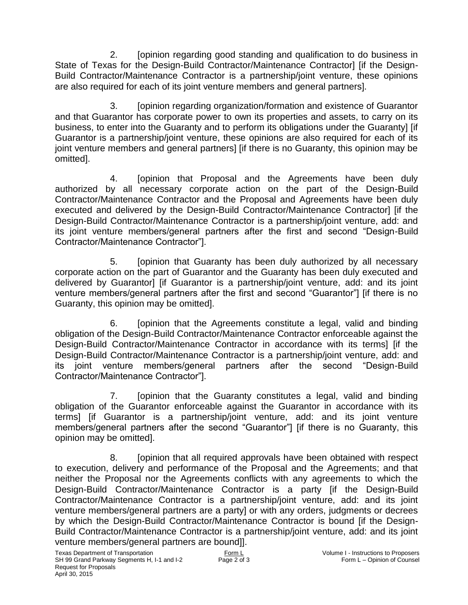2. [opinion regarding good standing and qualification to do business in State of Texas for the Design-Build Contractor/Maintenance Contractor] [if the Design-Build Contractor/Maintenance Contractor is a partnership/joint venture, these opinions are also required for each of its joint venture members and general partners].

3. [opinion regarding organization/formation and existence of Guarantor and that Guarantor has corporate power to own its properties and assets, to carry on its business, to enter into the Guaranty and to perform its obligations under the Guaranty] [if Guarantor is a partnership/joint venture, these opinions are also required for each of its joint venture members and general partners] [if there is no Guaranty, this opinion may be omitted].

4. [opinion that Proposal and the Agreements have been duly authorized by all necessary corporate action on the part of the Design-Build Contractor/Maintenance Contractor and the Proposal and Agreements have been duly executed and delivered by the Design-Build Contractor/Maintenance Contractor] [if the Design-Build Contractor/Maintenance Contractor is a partnership/joint venture, add: and its joint venture members/general partners after the first and second "Design-Build Contractor/Maintenance Contractor"].

5. [opinion that Guaranty has been duly authorized by all necessary corporate action on the part of Guarantor and the Guaranty has been duly executed and delivered by Guarantor] [if Guarantor is a partnership/joint venture, add: and its joint venture members/general partners after the first and second "Guarantor"] [if there is no Guaranty, this opinion may be omitted].

6. [opinion that the Agreements constitute a legal, valid and binding obligation of the Design-Build Contractor/Maintenance Contractor enforceable against the Design-Build Contractor/Maintenance Contractor in accordance with its terms] [if the Design-Build Contractor/Maintenance Contractor is a partnership/joint venture, add: and its joint venture members/general partners after the second "Design-Build Contractor/Maintenance Contractor"].

7. [opinion that the Guaranty constitutes a legal, valid and binding obligation of the Guarantor enforceable against the Guarantor in accordance with its terms] [if Guarantor is a partnership/joint venture, add: and its joint venture members/general partners after the second "Guarantor"] [if there is no Guaranty, this opinion may be omitted].

8. [opinion that all required approvals have been obtained with respect to execution, delivery and performance of the Proposal and the Agreements; and that neither the Proposal nor the Agreements conflicts with any agreements to which the Design-Build Contractor/Maintenance Contractor is a party [if the Design-Build Contractor/Maintenance Contractor is a partnership/joint venture, add: and its joint venture members/general partners are a party] or with any orders, judgments or decrees by which the Design-Build Contractor/Maintenance Contractor is bound [if the Design-Build Contractor/Maintenance Contractor is a partnership/joint venture, add: and its joint venture members/general partners are bound]].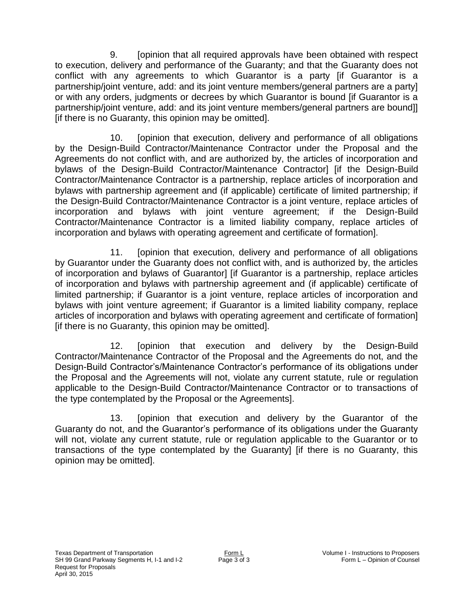9. [opinion that all required approvals have been obtained with respect to execution, delivery and performance of the Guaranty; and that the Guaranty does not conflict with any agreements to which Guarantor is a party [if Guarantor is a partnership/joint venture, add: and its joint venture members/general partners are a party] or with any orders, judgments or decrees by which Guarantor is bound [if Guarantor is a partnership/joint venture, add: and its joint venture members/general partners are bound]] [if there is no Guaranty, this opinion may be omitted].

10. [opinion that execution, delivery and performance of all obligations by the Design-Build Contractor/Maintenance Contractor under the Proposal and the Agreements do not conflict with, and are authorized by, the articles of incorporation and bylaws of the Design-Build Contractor/Maintenance Contractor] [if the Design-Build Contractor/Maintenance Contractor is a partnership, replace articles of incorporation and bylaws with partnership agreement and (if applicable) certificate of limited partnership; if the Design-Build Contractor/Maintenance Contractor is a joint venture, replace articles of incorporation and bylaws with joint venture agreement; if the Design-Build Contractor/Maintenance Contractor is a limited liability company, replace articles of incorporation and bylaws with operating agreement and certificate of formation].

11. [opinion that execution, delivery and performance of all obligations by Guarantor under the Guaranty does not conflict with, and is authorized by, the articles of incorporation and bylaws of Guarantor] [if Guarantor is a partnership, replace articles of incorporation and bylaws with partnership agreement and (if applicable) certificate of limited partnership; if Guarantor is a joint venture, replace articles of incorporation and bylaws with joint venture agreement; if Guarantor is a limited liability company, replace articles of incorporation and bylaws with operating agreement and certificate of formation] [if there is no Guaranty, this opinion may be omitted].

12. [opinion that execution and delivery by the Design-Build Contractor/Maintenance Contractor of the Proposal and the Agreements do not, and the Design-Build Contractor's/Maintenance Contractor's performance of its obligations under the Proposal and the Agreements will not, violate any current statute, rule or regulation applicable to the Design-Build Contractor/Maintenance Contractor or to transactions of the type contemplated by the Proposal or the Agreements].

13. [opinion that execution and delivery by the Guarantor of the Guaranty do not, and the Guarantor's performance of its obligations under the Guaranty will not, violate any current statute, rule or regulation applicable to the Guarantor or to transactions of the type contemplated by the Guaranty] [if there is no Guaranty, this opinion may be omitted].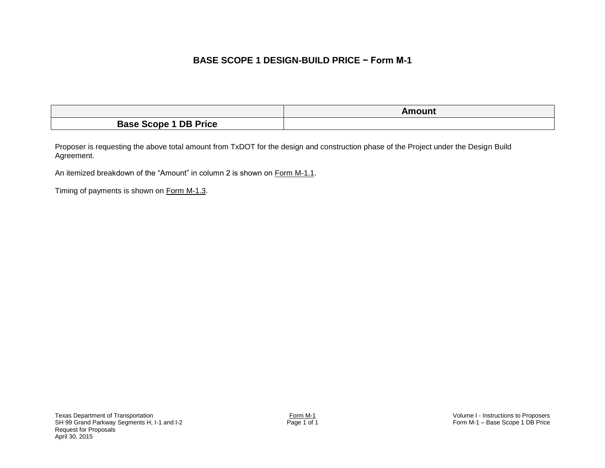# **BASE SCOPE 1 DESIGN-BUILD PRICE − Form M-1**

|                                 | .<br>™unu |
|---------------------------------|-----------|
| 1 DB Price<br><b>Base Scope</b> |           |

Proposer is requesting the above total amount from TxDOT for the design and construction phase of the Project under the Design Build Agreement.

An itemized breakdown of the "Amount" in column 2 is shown on Form M-1.1.

Timing of payments is shown on Form M-1.3.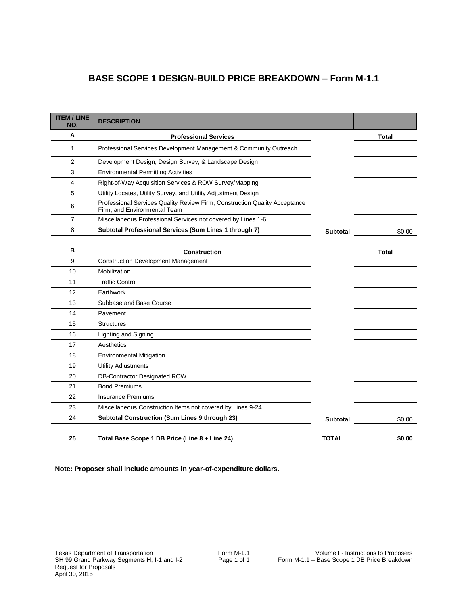# **BASE SCOPE 1 DESIGN-BUILD PRICE BREAKDOWN – Form M-1.1**

| <b>ITEM / LINE</b><br>NO. | <b>DESCRIPTION</b>                                                                                         |                 |        |
|---------------------------|------------------------------------------------------------------------------------------------------------|-----------------|--------|
| A                         | <b>Professional Services</b>                                                                               |                 | Total  |
|                           | Professional Services Development Management & Community Outreach                                          |                 |        |
| $\mathcal{P}$             | Development Design, Design Survey, & Landscape Design                                                      |                 |        |
| 3                         | <b>Environmental Permitting Activities</b>                                                                 |                 |        |
| 4                         | Right-of-Way Acquisition Services & ROW Survey/Mapping                                                     |                 |        |
| 5                         | Utility Locates, Utility Survey, and Utility Adjustment Design                                             |                 |        |
| 6                         | Professional Services Quality Review Firm, Construction Quality Acceptance<br>Firm, and Environmental Team |                 |        |
|                           | Miscellaneous Professional Services not covered by Lines 1-6                                               |                 |        |
| 8                         | Subtotal Professional Services (Sum Lines 1 through 7)                                                     | <b>Subtotal</b> | \$0.00 |

| в               | <b>Construction</b>                                        |          | <b>Total</b> |
|-----------------|------------------------------------------------------------|----------|--------------|
| 9               | <b>Construction Development Management</b>                 |          |              |
| 10 <sup>1</sup> | Mobilization                                               |          |              |
| 11              | <b>Traffic Control</b>                                     |          |              |
| 12              | Earthwork                                                  |          |              |
| 13              | Subbase and Base Course                                    |          |              |
| 14              | Pavement                                                   |          |              |
| 15              | <b>Structures</b>                                          |          |              |
| 16              | Lighting and Signing                                       |          |              |
| 17              | Aesthetics                                                 |          |              |
| 18              | <b>Environmental Mitigation</b>                            |          |              |
| 19              | <b>Utility Adjustments</b>                                 |          |              |
| 20              | DB-Contractor Designated ROW                               |          |              |
| 21              | <b>Bond Premiums</b>                                       |          |              |
| 22              | <b>Insurance Premiums</b>                                  |          |              |
| 23              | Miscellaneous Construction Items not covered by Lines 9-24 |          |              |
| 24              | <b>Subtotal Construction (Sum Lines 9 through 23)</b>      | Subtotal | \$0.00       |

**Total Base Scope 1 DB Price (Line 8 + Line 24) TOTAL \$0.00**

**Note: Proposer shall include amounts in year-of-expenditure dollars.**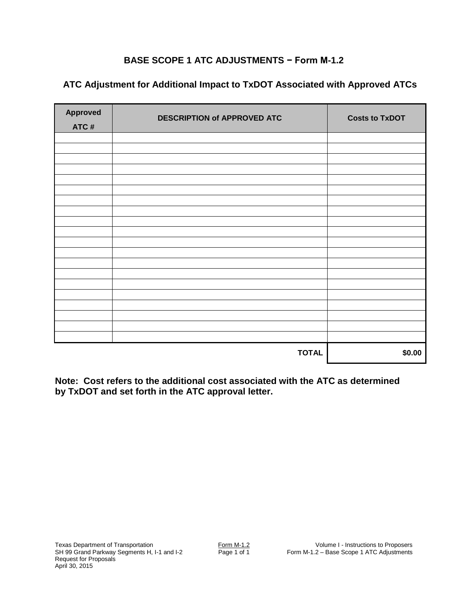# **BASE SCOPE 1 ATC ADJUSTMENTS − Form M-1.2**

# **ATC Adjustment for Additional Impact to TxDOT Associated with Approved ATCs**

| Approved<br>ATC# | DESCRIPTION of APPROVED ATC | <b>Costs to TxDOT</b> |
|------------------|-----------------------------|-----------------------|
|                  |                             |                       |
|                  |                             |                       |
|                  |                             |                       |
|                  |                             |                       |
|                  |                             |                       |
|                  |                             |                       |
|                  |                             |                       |
|                  |                             |                       |
|                  |                             |                       |
|                  |                             |                       |
|                  |                             |                       |
|                  |                             |                       |
|                  |                             |                       |
|                  |                             |                       |
|                  |                             |                       |
|                  |                             |                       |
|                  |                             |                       |
|                  |                             |                       |
|                  |                             |                       |
|                  | <b>TOTAL</b>                | \$0.00                |

**Note: Cost refers to the additional cost associated with the ATC as determined by TxDOT and set forth in the ATC approval letter.**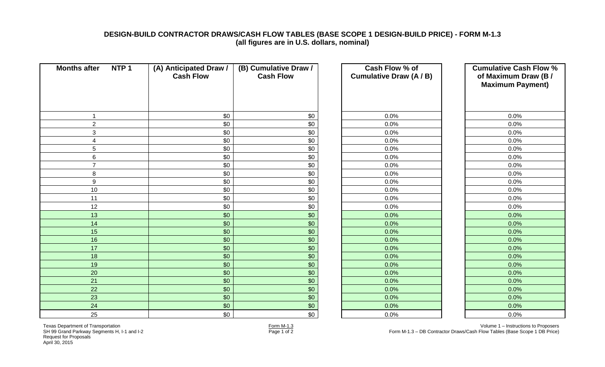#### **DESIGN-BUILD CONTRACTOR DRAWS/CASH FLOW TABLES (BASE SCOPE 1 DESIGN-BUILD PRICE) - FORM M-1.3 (all figures are in U.S. dollars, nominal)**

| NTP <sub>1</sub><br><b>Months after</b> | (A) Anticipated Draw /<br><b>Cash Flow</b> | (B) Cumulative Draw /<br><b>Cash Flow</b> | Cash Flow % of<br><b>Cumulative Draw (A/B)</b> | <b>Cumulative Cash Flow %</b><br>of Maximum Draw (B /<br><b>Maximum Payment)</b> |
|-----------------------------------------|--------------------------------------------|-------------------------------------------|------------------------------------------------|----------------------------------------------------------------------------------|
|                                         | \$0                                        | \$0                                       | 0.0%                                           | 0.0%                                                                             |
| $\overline{2}$                          | \$0                                        | \$0                                       | 0.0%                                           | 0.0%                                                                             |
| 3                                       | \$0                                        | \$0                                       | 0.0%                                           | 0.0%                                                                             |
| 4                                       | \$0                                        | \$0                                       | 0.0%                                           | 0.0%                                                                             |
| 5                                       | $$0$$                                      | \$0                                       | 0.0%                                           | 0.0%                                                                             |
| 6                                       | \$0                                        | \$0                                       | 0.0%                                           | 0.0%                                                                             |
| $\overline{7}$                          | \$0                                        | \$0                                       | 0.0%                                           | 0.0%                                                                             |
| 8                                       | \$0                                        | \$0                                       | 0.0%                                           | 0.0%                                                                             |
| 9                                       | \$0                                        | \$0                                       | 0.0%                                           | 0.0%                                                                             |
| 10                                      | \$0                                        | \$0                                       | 0.0%                                           | 0.0%                                                                             |
| 11                                      | \$0                                        | \$0                                       | 0.0%                                           | 0.0%                                                                             |
| 12                                      | \$0                                        | \$0                                       | 0.0%                                           | 0.0%                                                                             |
| 13                                      | \$0                                        | \$0                                       | 0.0%                                           | 0.0%                                                                             |
| 14                                      | \$0                                        | \$0                                       | 0.0%                                           | 0.0%                                                                             |
| 15                                      | \$0                                        | \$0                                       | 0.0%                                           | 0.0%                                                                             |
| 16                                      | \$0                                        | \$0                                       | 0.0%                                           | 0.0%                                                                             |
| 17                                      | \$0                                        | \$0                                       | 0.0%                                           | 0.0%                                                                             |
| 18                                      | \$0                                        | \$0                                       | 0.0%                                           | 0.0%                                                                             |
| 19                                      | \$0                                        | \$0                                       | 0.0%                                           | 0.0%                                                                             |
| 20                                      | \$0                                        | \$0                                       | 0.0%                                           | 0.0%                                                                             |
| 21                                      | \$0                                        | \$0                                       | 0.0%                                           | 0.0%                                                                             |
| 22                                      | \$0                                        | \$0                                       | 0.0%                                           | 0.0%                                                                             |
| 23                                      | \$0                                        | \$0                                       | 0.0%                                           | 0.0%                                                                             |
| 24                                      | \$0                                        | \$0                                       | 0.0%                                           | 0.0%                                                                             |
| 25                                      | \$0                                        | \$0                                       | 0.0%                                           | 0.0%                                                                             |

Request for Proposals April 30, 2015

Texas Department of Transportation M-1.2 Form M-1.3 Form M-1.3 Volume 1 – Instructions to Proposers<br>Tage 1 of 2 Form M-1.3 Form M-1.3 – DB Contractor Draws/Cash Flow Tables (Base Scope 1 DB Price) Form M-1.3 – DB Contractor Draws/Cash Flow Tables (Base Scope 1 DB Price)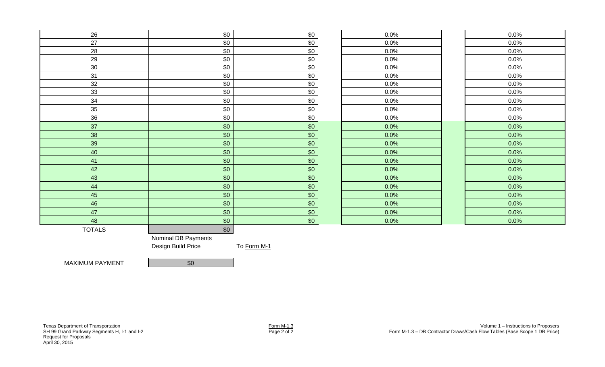| 26            | \$0                 | \$0         | 0.0%    | 0.0% |
|---------------|---------------------|-------------|---------|------|
| 27            | \$0                 | \$0         | 0.0%    | 0.0% |
| 28            | \$0                 | \$0         | 0.0%    | 0.0% |
| 29            | \$0                 | \$0         | 0.0%    | 0.0% |
| $30\,$        | \$0                 | \$0         | 0.0%    | 0.0% |
| 31            | \$0                 | \$0         | 0.0%    | 0.0% |
| 32            | \$0                 | \$0         | 0.0%    | 0.0% |
| 33            | \$0                 | \$0         | 0.0%    | 0.0% |
| 34            | \$0                 | \$0         | $0.0\%$ | 0.0% |
| 35            | \$0                 | \$0         | 0.0%    | 0.0% |
| 36            | \$0                 | \$0         | 0.0%    | 0.0% |
| 37            | \$0                 | \$0         | 0.0%    | 0.0% |
| 38            | \$0                 | $$0$        | 0.0%    | 0.0% |
| 39            | \$0                 | \$0         | 0.0%    | 0.0% |
| 40            | \$0                 | \$0         | 0.0%    | 0.0% |
| 41            | \$0                 | \$0         | 0.0%    | 0.0% |
| 42            | \$0                 | \$0         | 0.0%    | 0.0% |
| 43            | \$0                 | \$0         | 0.0%    | 0.0% |
| 44            | \$0                 | \$0         | 0.0%    | 0.0% |
| 45            | \$0                 | $$0$$       | 0.0%    | 0.0% |
| 46            | \$0                 | \$0         | 0.0%    | 0.0% |
| 47            | \$0                 | \$0         | 0.0%    | 0.0% |
| 48            | \$0                 | \$0         | 0.0%    | 0.0% |
| <b>TOTALS</b> | \$0                 |             |         |      |
|               | Nominal DB Payments |             |         |      |
|               | Design Build Price  | To Form M-1 |         |      |

MAXIMUM PAYMENT  $\vert$  \$0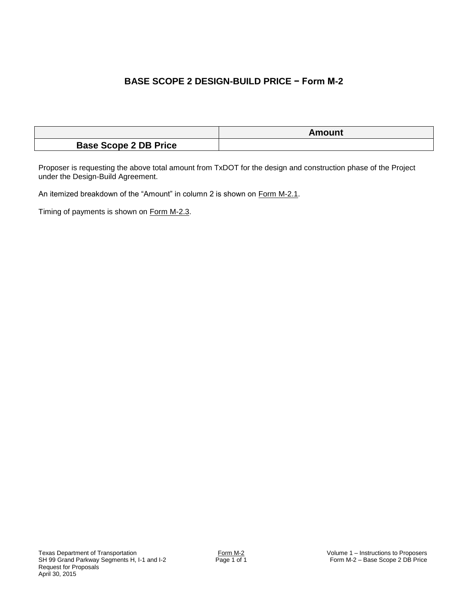# **BASE SCOPE 2 DESIGN-BUILD PRICE − Form M-2**

|                              | <b>Amount</b> |
|------------------------------|---------------|
| <b>Base Scope 2 DB Price</b> |               |

Proposer is requesting the above total amount from TxDOT for the design and construction phase of the Project under the Design-Build Agreement.

An itemized breakdown of the "Amount" in column 2 is shown on Form M-2.1.

Timing of payments is shown on Form M-2.3.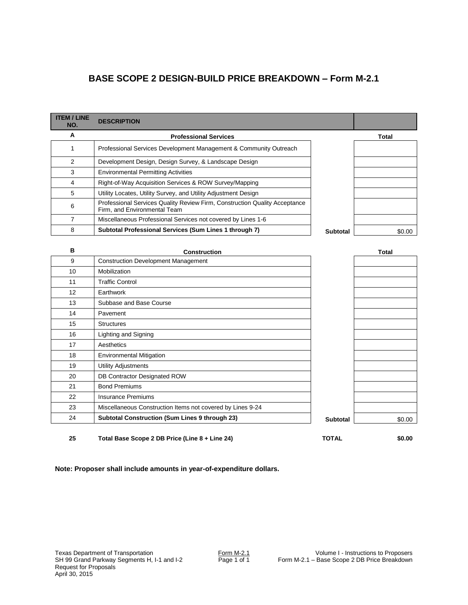# **BASE SCOPE 2 DESIGN-BUILD PRICE BREAKDOWN – Form M-2.1**

| <b>ITEM / LINE</b><br>NO. | <b>DESCRIPTION</b>                                                                                         |                 |        |
|---------------------------|------------------------------------------------------------------------------------------------------------|-----------------|--------|
| A                         | <b>Professional Services</b>                                                                               |                 | Total  |
|                           | Professional Services Development Management & Community Outreach                                          |                 |        |
| 2                         | Development Design, Design Survey, & Landscape Design                                                      |                 |        |
| 3                         | <b>Environmental Permitting Activities</b>                                                                 |                 |        |
| 4                         | Right-of-Way Acquisition Services & ROW Survey/Mapping                                                     |                 |        |
| 5                         | Utility Locates, Utility Survey, and Utility Adjustment Design                                             |                 |        |
| 6                         | Professional Services Quality Review Firm, Construction Quality Acceptance<br>Firm, and Environmental Team |                 |        |
| 7                         | Miscellaneous Professional Services not covered by Lines 1-6                                               |                 |        |
| 8                         | Subtotal Professional Services (Sum Lines 1 through 7)                                                     | <b>Subtotal</b> | \$0.00 |

| в  | <b>Construction</b>                                        |                 | <b>Total</b> |
|----|------------------------------------------------------------|-----------------|--------------|
| 9  | <b>Construction Development Management</b>                 |                 |              |
| 10 | Mobilization                                               |                 |              |
| 11 | <b>Traffic Control</b>                                     |                 |              |
| 12 | Earthwork                                                  |                 |              |
| 13 | Subbase and Base Course                                    |                 |              |
| 14 | Pavement                                                   |                 |              |
| 15 | <b>Structures</b>                                          |                 |              |
| 16 | Lighting and Signing                                       |                 |              |
| 17 | Aesthetics                                                 |                 |              |
| 18 | <b>Environmental Mitigation</b>                            |                 |              |
| 19 | <b>Utility Adjustments</b>                                 |                 |              |
| 20 | DB Contractor Designated ROW                               |                 |              |
| 21 | <b>Bond Premiums</b>                                       |                 |              |
| 22 | <b>Insurance Premiums</b>                                  |                 |              |
| 23 | Miscellaneous Construction Items not covered by Lines 9-24 |                 |              |
| 24 | <b>Subtotal Construction (Sum Lines 9 through 23)</b>      | <b>Subtotal</b> | \$0.00       |

**Total Base Scope 2 DB Price (Line 8 + Line 24) TOTAL \$0.00**

**Note: Proposer shall include amounts in year-of-expenditure dollars.**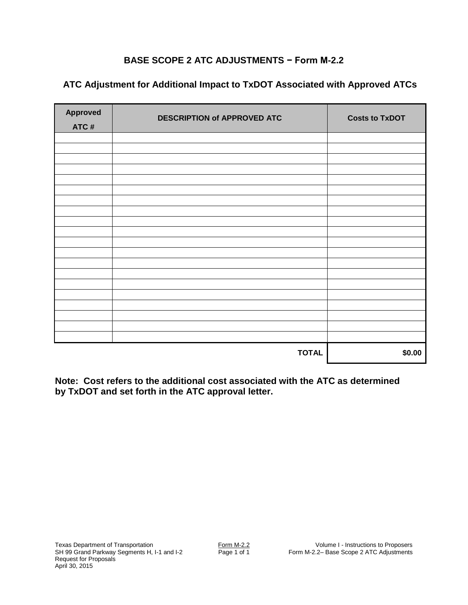# **BASE SCOPE 2 ATC ADJUSTMENTS − Form M-2.2**

# **ATC Adjustment for Additional Impact to TxDOT Associated with Approved ATCs**

| <b>Approved</b><br>ATC# | DESCRIPTION of APPROVED ATC | <b>Costs to TxDOT</b> |
|-------------------------|-----------------------------|-----------------------|
|                         |                             |                       |
|                         |                             |                       |
|                         |                             |                       |
|                         |                             |                       |
|                         |                             |                       |
|                         |                             |                       |
|                         |                             |                       |
|                         |                             |                       |
|                         |                             |                       |
|                         |                             |                       |
|                         |                             |                       |
|                         |                             |                       |
|                         |                             |                       |
|                         |                             |                       |
|                         |                             |                       |
|                         |                             |                       |
|                         |                             |                       |
|                         |                             |                       |
|                         |                             |                       |
|                         | <b>TOTAL</b>                | \$0.00                |

**Note: Cost refers to the additional cost associated with the ATC as determined by TxDOT and set forth in the ATC approval letter.**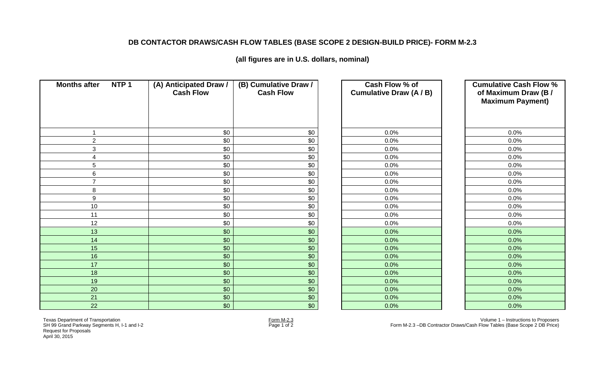# **DB CONTACTOR DRAWS/CASH FLOW TABLES (BASE SCOPE 2 DESIGN-BUILD PRICE)- FORM M-2.3**

**(all figures are in U.S. dollars, nominal)**

| NTP <sub>1</sub><br><b>Months after</b> | (A) Anticipated Draw /<br><b>Cash Flow</b> | (B) Cumulative Draw /<br><b>Cash Flow</b> | Cash Flow % of<br><b>Cumulative Draw (A/B)</b> | <b>Cumulative Cash Flow %</b><br>of Maximum Draw (B /<br><b>Maximum Payment)</b> |
|-----------------------------------------|--------------------------------------------|-------------------------------------------|------------------------------------------------|----------------------------------------------------------------------------------|
| 1                                       | \$0                                        | \$0                                       | 0.0%                                           | 0.0%                                                                             |
| $\overline{2}$                          | \$0                                        | \$0                                       | 0.0%                                           | 0.0%                                                                             |
| 3                                       | \$0                                        | \$0                                       | 0.0%                                           | 0.0%                                                                             |
| 4                                       | \$0                                        | \$0                                       | 0.0%                                           | 0.0%                                                                             |
| 5                                       | \$0                                        | \$0                                       | 0.0%                                           | 0.0%                                                                             |
| 6                                       | \$0                                        | \$0                                       | 0.0%                                           | 0.0%                                                                             |
| $\overline{ }$                          | \$0                                        | \$0                                       | 0.0%                                           | 0.0%                                                                             |
| 8                                       | \$0                                        | \$0                                       | 0.0%                                           | 0.0%                                                                             |
| 9                                       | \$0                                        | \$0                                       | 0.0%                                           | 0.0%                                                                             |
| 10                                      | \$0                                        | \$0                                       | 0.0%                                           | 0.0%                                                                             |
| 11                                      | \$0                                        | \$0                                       | 0.0%                                           | 0.0%                                                                             |
| 12                                      | \$0                                        | \$0                                       | 0.0%                                           | 0.0%                                                                             |
| 13                                      | \$0                                        | \$0                                       | 0.0%                                           | 0.0%                                                                             |
| 14                                      | \$0                                        | \$0                                       | 0.0%                                           | 0.0%                                                                             |
| 15                                      | \$0                                        | \$0                                       | 0.0%                                           | 0.0%                                                                             |
| 16                                      | \$0                                        | \$0                                       | 0.0%                                           | 0.0%                                                                             |
| 17                                      | \$0                                        | \$0                                       | 0.0%                                           | 0.0%                                                                             |
| 18                                      | \$0                                        | \$0                                       | 0.0%                                           | 0.0%                                                                             |
| 19                                      | \$0                                        | \$0                                       | 0.0%                                           | 0.0%                                                                             |
| 20                                      | \$0                                        | \$0                                       | 0.0%                                           | 0.0%                                                                             |
| 21                                      | \$0                                        | \$0                                       | 0.0%                                           | 0.0%                                                                             |
| 22                                      | \$0                                        | \$0                                       | 0.0%                                           | 0.0%                                                                             |

Texas Department of Transportation<br>SH 99 Grand Parkway Segments H, I-1 and I-2<br>Request for Proposals April 30, 2015

Texas Department of Transportation www.community.com/ M-2.3 Form M-2.3 Volume 1 – Instructions to Proposers SH 99 Grand Parkway Segments H, I-1 and I-2 **Form M-2.3** Form M-2.3 –DB Contractor Draws/Cash Flow Tables (Base Scope 2 DB Price)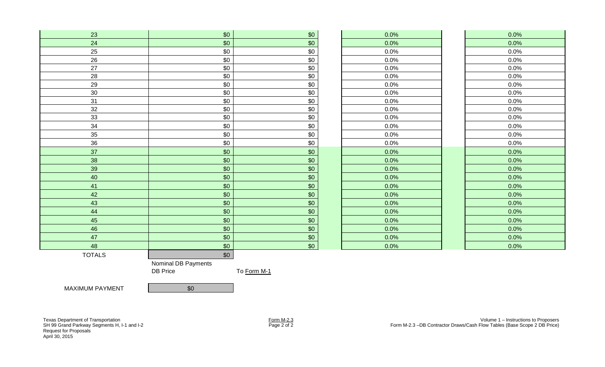| 23            | \$0 | \$0   | 0.0%    | 0.0% |
|---------------|-----|-------|---------|------|
| 24            | \$0 | \$0   | 0.0%    | 0.0% |
| 25            | \$0 | \$0   | $0.0\%$ | 0.0% |
| 26            | \$0 | $\$0$ | $0.0\%$ | 0.0% |
| 27            | \$0 | \$0   | 0.0%    | 0.0% |
| 28            | \$0 | \$0   | $0.0\%$ | 0.0% |
| 29            | \$0 | \$0   | 0.0%    | 0.0% |
| 30            | \$0 | \$0   | 0.0%    | 0.0% |
| 31            | \$0 | \$0   | 0.0%    | 0.0% |
| 32            | \$0 | \$0   | 0.0%    | 0.0% |
| 33            | \$0 | \$0   | 0.0%    | 0.0% |
| 34            | \$0 | $\$0$ | 0.0%    | 0.0% |
| 35            | \$0 | $\$0$ | $0.0\%$ | 0.0% |
| 36            | \$0 | \$0   | $0.0\%$ | 0.0% |
| 37            | \$0 | \$0   | 0.0%    | 0.0% |
| 38            | \$0 | \$0   | 0.0%    | 0.0% |
| 39            | \$0 | \$0   | 0.0%    | 0.0% |
| 40            | \$0 | $$0$  | 0.0%    | 0.0% |
| 41            | \$0 | $$0$  | 0.0%    | 0.0% |
| 42            | \$0 | \$0   | 0.0%    | 0.0% |
| 43            | \$0 | $$0$  | 0.0%    | 0.0% |
| 44            | \$0 | \$0   | 0.0%    | 0.0% |
| 45            | \$0 | \$0   | 0.0%    | 0.0% |
| 46            | \$0 | \$0   | 0.0%    | 0.0% |
| 47            | \$0 | $$0$$ | 0.0%    | 0.0% |
| 48            | \$0 | $$0$  | 0.0%    | 0.0% |
| <b>TOTALS</b> | \$0 |       |         |      |

Nominal DB Payments

DB Price To Form M-1

MAXIMUM PAYMENT  $\vert$  \$0

Request for Proposals April 30, 2015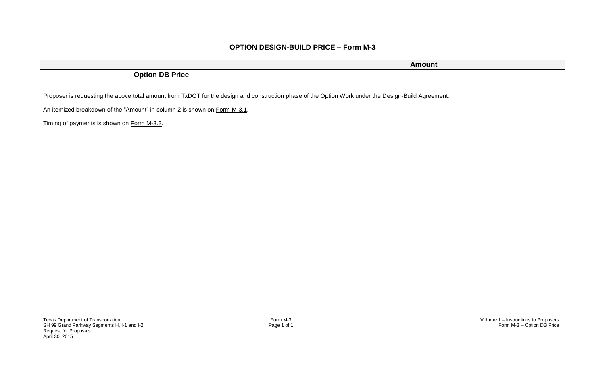#### **OPTION DESIGN-BUILD PRICE – Form M-3**

|                                | Amount |
|--------------------------------|--------|
| DB<br><b>Option</b><br>, Price |        |

Proposer is requesting the above total amount from TxDOT for the design and construction phase of the Option Work under the Design-Build Agreement.

An itemized breakdown of the "Amount" in column 2 is shown on Form M-3.1.

Timing of payments is shown on Form M-3.3.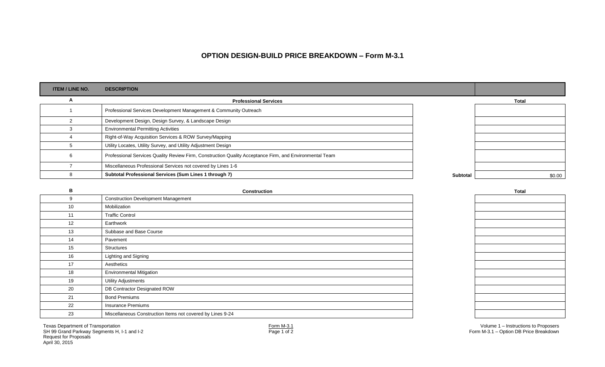#### **OPTION DESIGN-BUILD PRICE BREAKDOWN – Form M-3.1**

| <b>ITEM / LINE NO.</b> | <b>DESCRIPTION</b>                                                                                      |                 |        |
|------------------------|---------------------------------------------------------------------------------------------------------|-----------------|--------|
| м.                     | <b>Professional Services</b>                                                                            |                 | Total  |
|                        | Professional Services Development Management & Community Outreach                                       |                 |        |
|                        | Development Design, Design Survey, & Landscape Design                                                   |                 |        |
|                        | <b>Environmental Permitting Activities</b>                                                              |                 |        |
|                        | Right-of-Way Acquisition Services & ROW Survey/Mapping                                                  |                 |        |
|                        | Utility Locates, Utility Survey, and Utility Adjustment Design                                          |                 |        |
| O                      | Professional Services Quality Review Firm, Construction Quality Acceptance Firm, and Environmental Team |                 |        |
|                        | Miscellaneous Professional Services not covered by Lines 1-6                                            |                 |        |
|                        | Subtotal Professional Services (Sum Lines 1 through 7)                                                  | <b>Subtotal</b> | \$0.00 |

| в  | <b>Construction</b>                                        | <b>Total</b> |
|----|------------------------------------------------------------|--------------|
| 9  | <b>Construction Development Management</b>                 |              |
| 10 | Mobilization                                               |              |
| 11 | <b>Traffic Control</b>                                     |              |
| 12 | Earthwork                                                  |              |
| 13 | Subbase and Base Course                                    |              |
| 14 | Pavement                                                   |              |
| 15 | Structures                                                 |              |
| 16 | Lighting and Signing                                       |              |
| 17 | Aesthetics                                                 |              |
| 18 | <b>Environmental Mitigation</b>                            |              |
| 19 | <b>Utility Adjustments</b>                                 |              |
| 20 | DB Contractor Designated ROW                               |              |
| 21 | <b>Bond Premiums</b>                                       |              |
| 22 | Insurance Premiums                                         |              |
| 23 | Miscellaneous Construction Items not covered by Lines 9-24 |              |
|    |                                                            |              |

| <b>Total</b> |
|--------------|
|              |
|              |
|              |
|              |
|              |
|              |
|              |
|              |
|              |
|              |
|              |
|              |
|              |
|              |
|              |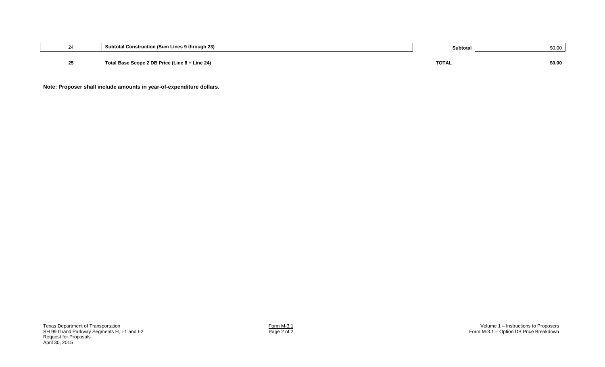| 24 | Subtotal Construction (Sum Lines 9 through 23) | <b>Subtotal</b> | \$0.00 |
|----|------------------------------------------------|-----------------|--------|
| 25 | Total Base Scope 2 DB Price (Line 8 + Line 24) | <b>TOTAL</b>    | \$0.00 |

**Note: Proposer shall include amounts in year-of-expenditure dollars.**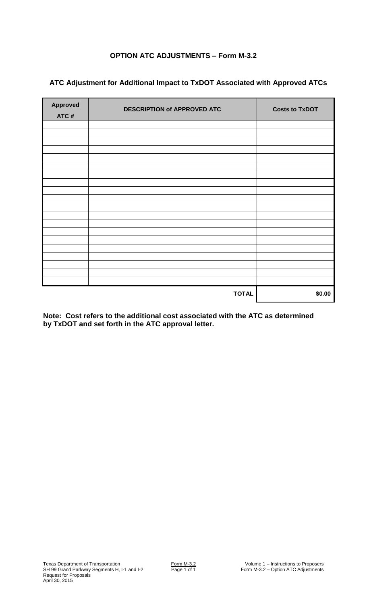# **OPTION ATC ADJUSTMENTS – Form M-3.2**

| <b>Approved</b><br>ATC# | DESCRIPTION of APPROVED ATC | <b>Costs to TxDOT</b> |
|-------------------------|-----------------------------|-----------------------|
|                         |                             |                       |
|                         |                             |                       |
|                         |                             |                       |
|                         |                             |                       |
|                         |                             |                       |
|                         |                             |                       |
|                         |                             |                       |
|                         |                             |                       |
|                         |                             |                       |
|                         |                             |                       |
|                         |                             |                       |
|                         |                             |                       |
|                         |                             |                       |
|                         |                             |                       |
|                         |                             |                       |
|                         |                             |                       |
|                         |                             |                       |
|                         |                             |                       |
|                         |                             |                       |
|                         | <b>TOTAL</b>                | \$0.00                |

# **ATC Adjustment for Additional Impact to TxDOT Associated with Approved ATCs**

**Note: Cost refers to the additional cost associated with the ATC as determined by TxDOT and set forth in the ATC approval letter.**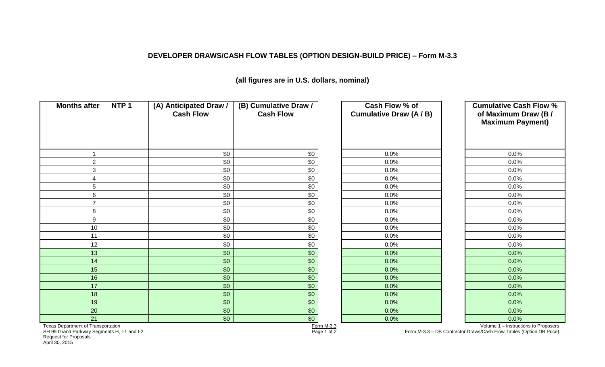# **DEVELOPER DRAWS/CASH FLOW TABLES (OPTION DESIGN-BUILD PRICE) – Form M-3.3**

**(all figures are in U.S. dollars, nominal)**

| <b>Months after</b><br>NTP <sub>1</sub>   | (A) Anticipated Draw /<br><b>Cash Flow</b> | (B) Cumulative Draw /<br><b>Cash Flow</b> | Cash Flow % of<br><b>Cumulative Draw (A/B)</b> | <b>Cumulative Cash Flow %</b><br>of Maximum Draw (B /<br><b>Maximum Payment)</b> |
|-------------------------------------------|--------------------------------------------|-------------------------------------------|------------------------------------------------|----------------------------------------------------------------------------------|
|                                           | \$0                                        | \$0                                       | 0.0%                                           | 0.0%                                                                             |
| $\overline{2}$                            | \$0                                        | \$0                                       | 0.0%                                           | 0.0%                                                                             |
| 3                                         | \$0                                        | \$0                                       | 0.0%                                           | 0.0%                                                                             |
| 4                                         | \$0                                        | \$0                                       | 0.0%                                           | 0.0%                                                                             |
| 5                                         | \$0                                        | \$0                                       | 0.0%                                           | 0.0%                                                                             |
| $6\phantom{1}$                            | \$0                                        | \$0                                       | 0.0%                                           | 0.0%                                                                             |
| $\overline{7}$                            | \$0                                        | \$0                                       | 0.0%                                           | 0.0%                                                                             |
| 8                                         | \$0                                        | \$0                                       | 0.0%                                           | 0.0%                                                                             |
| 9                                         | \$0                                        | \$0                                       | 0.0%                                           | 0.0%                                                                             |
| 10                                        | \$0                                        | \$0                                       | 0.0%                                           | 0.0%                                                                             |
| 11                                        | \$0                                        | \$0                                       | 0.0%                                           | 0.0%                                                                             |
| 12                                        | \$0                                        | \$0                                       | 0.0%                                           | 0.0%                                                                             |
| 13                                        | $$0$$                                      | $$0$                                      | 0.0%                                           | 0.0%                                                                             |
| 14                                        | \$0                                        | \$0                                       | 0.0%                                           | 0.0%                                                                             |
| 15                                        | \$0                                        | \$0                                       | 0.0%                                           | 0.0%                                                                             |
| 16                                        | \$0                                        | \$0                                       | 0.0%                                           | 0.0%                                                                             |
| 17                                        | \$0                                        | \$0                                       | 0.0%                                           | 0.0%                                                                             |
| 18                                        | \$0                                        | \$0                                       | 0.0%                                           | 0.0%                                                                             |
| 19                                        | \$0                                        | \$0                                       | 0.0%                                           | 0.0%                                                                             |
| 20                                        | \$0                                        | \$0                                       | 0.0%                                           | 0.0%                                                                             |
| 21                                        | \$0                                        | \$0                                       | 0.0%                                           | 0.0%                                                                             |
| <b>Texas Department of Transportation</b> |                                            |                                           | Form M-3.3                                     | Volume 1 - Instructions to Proposers                                             |

Request for Proposals

Form M-3.3 – DB Contractor Draws/Cash Flow Tables (Option DB Price)<br>Page 1 of 2 Form M-3.3 – DB Contractor Draws/Cash Flow Tables (Option DB Price)

April 30, 2015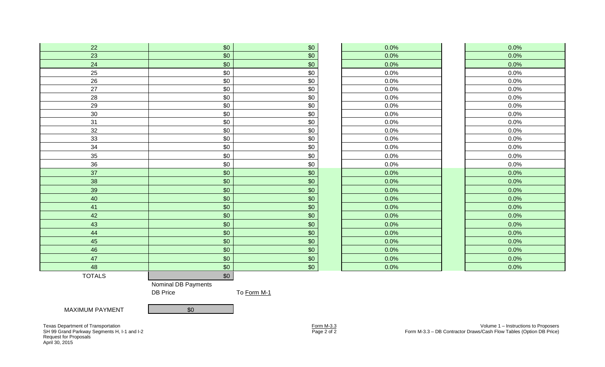| 22            | \$0  | \$0   | 0.0%    | 0.0%    |
|---------------|------|-------|---------|---------|
| 23            | \$0  | \$0   | 0.0%    | 0.0%    |
| 24            | \$0  | \$0   | 0.0%    | 0.0%    |
| 25            | \$0  | \$0   | 0.0%    | 0.0%    |
| 26            | \$0  | \$0   | 0.0%    | 0.0%    |
| 27            | \$0  | $$0$$ | 0.0%    | $0.0\%$ |
| 28            | \$0  | \$0   | $0.0\%$ | 0.0%    |
| 29            | \$0  | \$0   | 0.0%    | 0.0%    |
| 30            | \$0  | \$0   | 0.0%    | 0.0%    |
| 31            | \$0  | \$0   | $0.0\%$ | 0.0%    |
| 32            | \$0  | $$0$$ | $0.0\%$ | 0.0%    |
| 33            | \$0  | $$0$$ | 0.0%    | 0.0%    |
| 34            | \$0  | \$0   | 0.0%    | 0.0%    |
| 35            | \$0  | \$0   | 0.0%    | 0.0%    |
| 36            | \$0  | $$0$$ | 0.0%    | 0.0%    |
| 37            | \$0  | \$0   | 0.0%    | 0.0%    |
| 38            | \$0  | \$0   | 0.0%    | 0.0%    |
| 39            | \$0  | \$0   | 0.0%    | 0.0%    |
| 40            | \$0  | \$0   | 0.0%    | 0.0%    |
| 41            | $$0$ | \$0   | 0.0%    | 0.0%    |
| 42            | \$0  | $$0$  | 0.0%    | 0.0%    |
| 43            | \$0  | \$0   | 0.0%    | 0.0%    |
| 44            | \$0  | \$0   | 0.0%    | 0.0%    |
| 45            | \$0  | \$0   | 0.0%    | 0.0%    |
| 46            | \$0  | \$0   | 0.0%    | 0.0%    |
| 47            | \$0  | \$0   | 0.0%    | 0.0%    |
| 48            | \$0  | \$0   | 0.0%    | 0.0%    |
| <b>TOTALS</b> | \$0  |       |         |         |

Nominal DB Payments

DB Price To Form M-1

MAXIMUM PAYMENT  $\vert$  \$0

Request for Proposals April 30, 2015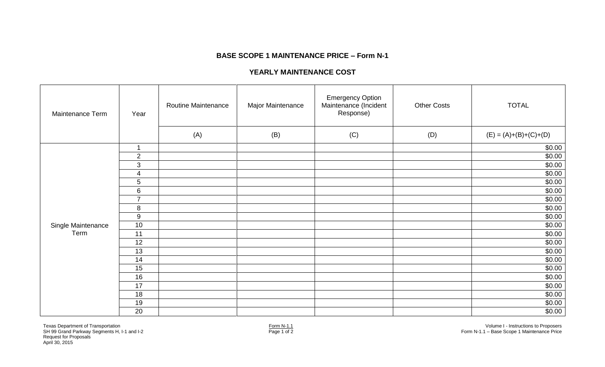#### **BASE SCOPE 1 MAINTENANCE PRICE – Form N-1**

# **YEARLY MAINTENANCE COST**

| Maintenance Term           | Year            | <b>Routine Maintenance</b> | Major Maintenance | <b>Emergency Option</b><br>Maintenance (Incident<br>Response) | <b>Other Costs</b> | <b>TOTAL</b>            |
|----------------------------|-----------------|----------------------------|-------------------|---------------------------------------------------------------|--------------------|-------------------------|
|                            |                 | (A)                        | (B)               | (C)                                                           | (D)                | $(E) = (A)+(B)+(C)+(D)$ |
|                            | $\mathbf 1$     |                            |                   |                                                               |                    | \$0.00                  |
|                            | $\overline{2}$  |                            |                   |                                                               |                    | \$0.00                  |
|                            | $\mathbf{3}$    |                            |                   |                                                               |                    | \$0.00                  |
|                            | $\overline{4}$  |                            |                   |                                                               |                    | \$0.00                  |
|                            | $5\phantom{.0}$ |                            |                   |                                                               |                    | \$0.00                  |
|                            | $\,6\,$         |                            |                   |                                                               |                    | \$0.00                  |
|                            | $\overline{7}$  |                            |                   |                                                               |                    | \$0.00                  |
|                            | 8               |                            |                   |                                                               |                    | \$0.00                  |
|                            | 9               |                            |                   |                                                               |                    | \$0.00                  |
| Single Maintenance<br>Term | 10              |                            |                   |                                                               |                    | \$0.00                  |
|                            | 11<br>12        |                            |                   |                                                               |                    | \$0.00<br>\$0.00        |
|                            | 13              |                            |                   |                                                               |                    | \$0.00                  |
|                            | 14              |                            |                   |                                                               |                    | \$0.00                  |
|                            | 15              |                            |                   |                                                               |                    | \$0.00                  |
|                            | 16              |                            |                   |                                                               |                    | \$0.00                  |
|                            | 17              |                            |                   |                                                               |                    | \$0.00                  |
|                            | 18              |                            |                   |                                                               |                    | \$0.00                  |
|                            | 19              |                            |                   |                                                               |                    | \$0.00                  |
|                            | 20              |                            |                   |                                                               |                    | \$0.00                  |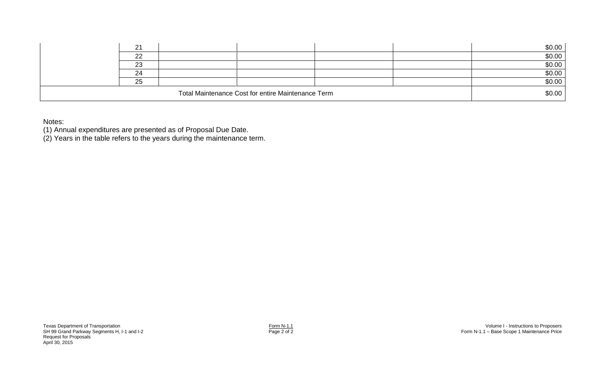|                                                    | 21<br><u>.</u> |  |  |  |  | \$0.00 |
|----------------------------------------------------|----------------|--|--|--|--|--------|
|                                                    | 22             |  |  |  |  | \$0.00 |
|                                                    | 23             |  |  |  |  | \$0.00 |
|                                                    | 24             |  |  |  |  | \$0.00 |
|                                                    | 25             |  |  |  |  | \$0.00 |
| Total Maintenance Cost for entire Maintenance Term |                |  |  |  |  | \$0.00 |

Notes:

(1) Annual expenditures are presented as of Proposal Due Date.

(2) Years in the table refers to the years during the maintenance term.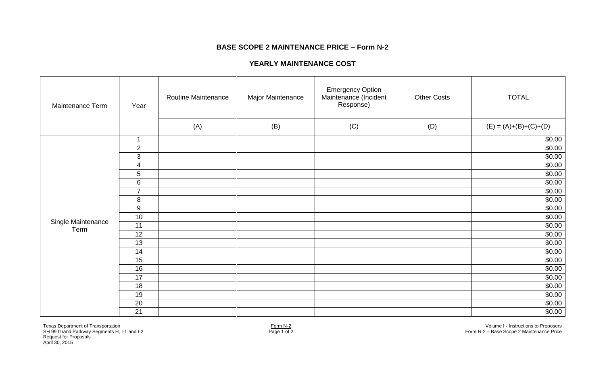#### **BASE SCOPE 2 MAINTENANCE PRICE – Form N-2**

#### **YEARLY MAINTENANCE COST**

| Maintenance Term   | Year             | Routine Maintenance | Major Maintenance | <b>Emergency Option</b><br>Maintenance (Incident<br>Response) | <b>Other Costs</b> | <b>TOTAL</b>            |
|--------------------|------------------|---------------------|-------------------|---------------------------------------------------------------|--------------------|-------------------------|
|                    |                  | (A)                 | (B)               | (C)                                                           | (D)                | $(E) = (A)+(B)+(C)+(D)$ |
|                    | $\mathbf{1}$     |                     |                   |                                                               |                    | \$0.00                  |
|                    | $\overline{2}$   |                     |                   |                                                               |                    | \$0.00                  |
|                    | $\mathfrak{S}$   |                     |                   |                                                               |                    | \$0.00                  |
|                    | $\overline{4}$   |                     |                   |                                                               |                    | \$0.00                  |
|                    | 5                |                     |                   |                                                               |                    | \$0.00                  |
|                    | 6                |                     |                   |                                                               |                    | \$0.00                  |
|                    | $\overline{7}$   |                     |                   |                                                               |                    | \$0.00                  |
|                    | $\bf 8$          |                     |                   |                                                               |                    | \$0.00                  |
|                    | $\boldsymbol{9}$ |                     |                   |                                                               |                    | \$0.00                  |
| Single Maintenance | 10<br>11         |                     |                   |                                                               |                    | \$0.00                  |
| Term               | 12               |                     |                   |                                                               |                    | \$0.00<br>\$0.00        |
|                    | 13               |                     |                   |                                                               |                    | \$0.00                  |
|                    | 14               |                     |                   |                                                               |                    | \$0.00                  |
|                    | 15               |                     |                   |                                                               |                    | \$0.00                  |
|                    | 16               |                     |                   |                                                               |                    | \$0.00                  |
|                    | 17               |                     |                   |                                                               |                    | \$0.00                  |
|                    | 18               |                     |                   |                                                               |                    | \$0.00                  |
|                    | 19               |                     |                   |                                                               |                    | \$0.00                  |
|                    | 20               |                     |                   |                                                               |                    | \$0.00                  |
|                    | 21               |                     |                   |                                                               |                    | \$0.00                  |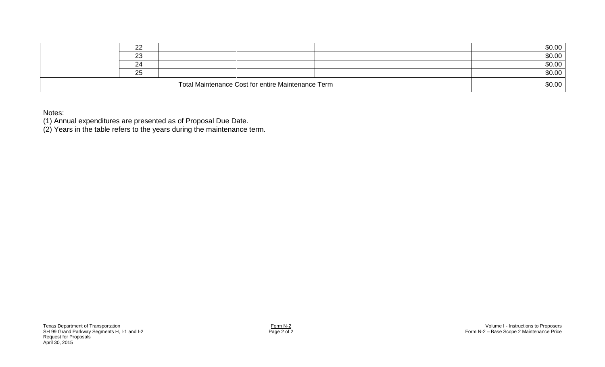|  | ററ<br>__  |  |  | \$0.00 |
|--|-----------|--|--|--------|
|  | ົດດ<br>ت∠ |  |  | \$0.00 |
|  | 24        |  |  | \$0.00 |
|  | 25        |  |  | \$0.00 |
|  | \$0.00    |  |  |        |

Notes:

(1) Annual expenditures are presented as of Proposal Due Date.

(2) Years in the table refers to the years during the maintenance term.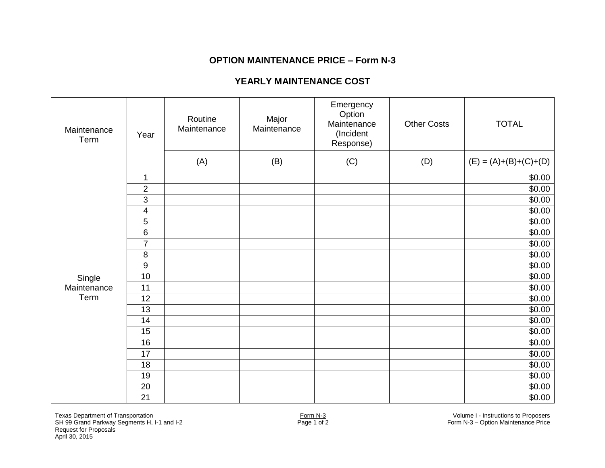#### **OPTION MAINTENANCE PRICE – Form N-3**

#### **YEARLY MAINTENANCE COST**

| Maintenance<br>Term | Year           | Routine<br>Maintenance | Major<br>Maintenance | Emergency<br>Option<br>Maintenance<br>(Incident<br>Response) | <b>Other Costs</b> | <b>TOTAL</b>            |
|---------------------|----------------|------------------------|----------------------|--------------------------------------------------------------|--------------------|-------------------------|
|                     |                | (A)                    | (B)                  | (C)                                                          | (D)                | $(E) = (A)+(B)+(C)+(D)$ |
|                     | $\mathbf{1}$   |                        |                      |                                                              |                    | \$0.00                  |
|                     | $\overline{2}$ |                        |                      |                                                              |                    | \$0.00                  |
|                     | $\mathfrak{S}$ |                        |                      |                                                              |                    | \$0.00                  |
|                     | 4              |                        |                      |                                                              |                    | \$0.00                  |
|                     | $\overline{5}$ |                        |                      |                                                              |                    | \$0.00                  |
|                     | $\,6$          |                        |                      |                                                              |                    | \$0.00                  |
|                     | $\overline{7}$ |                        |                      |                                                              |                    | \$0.00                  |
|                     | $\, 8$         |                        |                      |                                                              |                    | \$0.00                  |
|                     | 9              |                        |                      |                                                              |                    | \$0.00                  |
| Single              | 10             |                        |                      |                                                              |                    | \$0.00                  |
| Maintenance         | 11             |                        |                      |                                                              |                    | \$0.00                  |
| Term                | 12             |                        |                      |                                                              |                    | \$0.00                  |
|                     | 13             |                        |                      |                                                              |                    | \$0.00                  |
|                     | 14             |                        |                      |                                                              |                    | \$0.00                  |
|                     | 15             |                        |                      |                                                              |                    | \$0.00                  |
|                     | 16             |                        |                      |                                                              |                    | \$0.00                  |
|                     | 17             |                        |                      |                                                              |                    | \$0.00                  |
|                     | 18             |                        |                      |                                                              |                    | \$0.00                  |
|                     | 19             |                        |                      |                                                              |                    | \$0.00                  |
|                     | 20             |                        |                      |                                                              |                    | \$0.00                  |
|                     | 21             |                        |                      |                                                              |                    | \$0.00                  |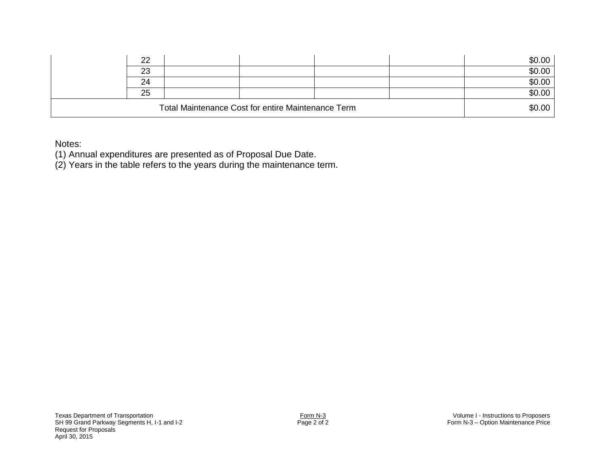|                                                    | 22 |  |  |  |  | \$0.00 |
|----------------------------------------------------|----|--|--|--|--|--------|
|                                                    | 23 |  |  |  |  | \$0.00 |
|                                                    | 24 |  |  |  |  | \$0.00 |
|                                                    | 25 |  |  |  |  | \$0.00 |
| Total Maintenance Cost for entire Maintenance Term |    |  |  |  |  | \$0.00 |

Notes:

(1) Annual expenditures are presented as of Proposal Due Date.

(2) Years in the table refers to the years during the maintenance term.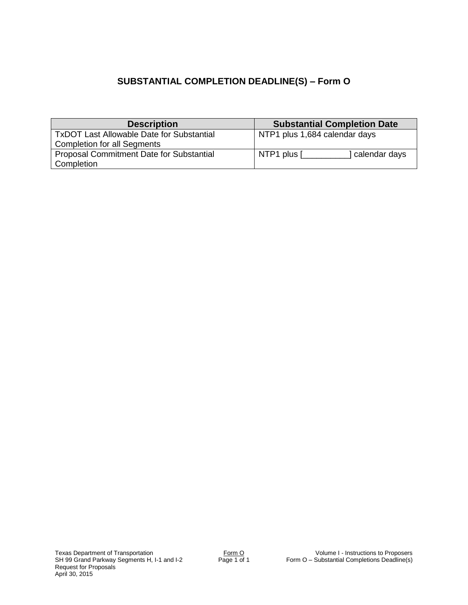# **SUBSTANTIAL COMPLETION DEADLINE(S) – Form O**

| <b>Description</b>                                                                     | <b>Substantial Completion Date</b>    |
|----------------------------------------------------------------------------------------|---------------------------------------|
| <b>TxDOT Last Allowable Date for Substantial</b><br><b>Completion for all Segments</b> | NTP1 plus 1,684 calendar days         |
| Proposal Commitment Date for Substantial<br>Completion                                 | $\sqrt{$ NTP1 plus [<br>calendar days |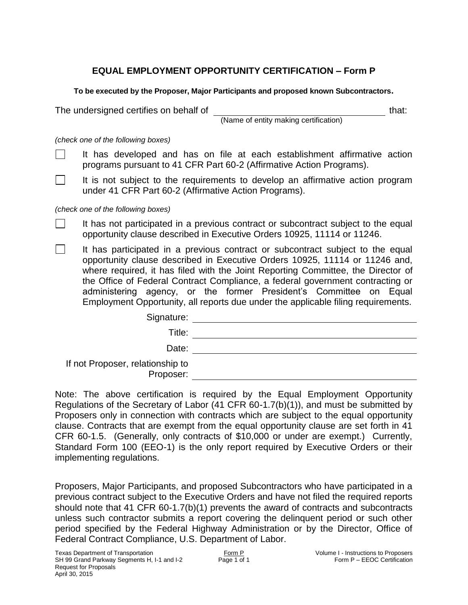# **EQUAL EMPLOYMENT OPPORTUNITY CERTIFICATION – Form P**

#### **To be executed by the Proposer, Major Participants and proposed known Subcontractors.**

The undersigned certifies on behalf of that: that: that: that:

(Name of entity making certification)

*(check one of the following boxes)*

- $\Box$ It has developed and has on file at each establishment affirmative action programs pursuant to 41 CFR Part 60-2 (Affirmative Action Programs).
- $\Box$ It is not subject to the requirements to develop an affirmative action program under 41 CFR Part 60-2 (Affirmative Action Programs).

#### *(check one of the following boxes)*

- $\Box$ It has not participated in a previous contract or subcontract subject to the equal opportunity clause described in Executive Orders 10925, 11114 or 11246.
- $\Box$ It has participated in a previous contract or subcontract subject to the equal opportunity clause described in Executive Orders 10925, 11114 or 11246 and, where required, it has filed with the Joint Reporting Committee, the Director of the Office of Federal Contract Compliance, a federal government contracting or administering agency, or the former President's Committee on Equal Employment Opportunity, all reports due under the applicable filing requirements.

| Signature:                                    |  |
|-----------------------------------------------|--|
| Title:                                        |  |
| Date:                                         |  |
| If not Proposer, relationship to<br>Proposer: |  |

Note: The above certification is required by the Equal Employment Opportunity Regulations of the Secretary of Labor (41 CFR 60-1.7(b)(1)), and must be submitted by Proposers only in connection with contracts which are subject to the equal opportunity clause. Contracts that are exempt from the equal opportunity clause are set forth in 41 CFR 60-1.5. (Generally, only contracts of \$10,000 or under are exempt.) Currently, Standard Form 100 (EEO-1) is the only report required by Executive Orders or their implementing regulations.

Proposers, Major Participants, and proposed Subcontractors who have participated in a previous contract subject to the Executive Orders and have not filed the required reports should note that 41 CFR 60-1.7(b)(1) prevents the award of contracts and subcontracts unless such contractor submits a report covering the delinquent period or such other period specified by the Federal Highway Administration or by the Director, Office of Federal Contract Compliance, U.S. Department of Labor.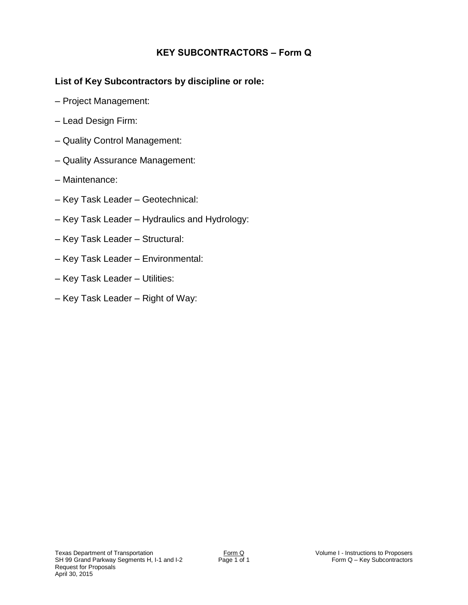# **KEY SUBCONTRACTORS – Form Q**

# **List of Key Subcontractors by discipline or role:**

- Project Management:
- Lead Design Firm:
- Quality Control Management:
- Quality Assurance Management:
- Maintenance:
- Key Task Leader Geotechnical:
- Key Task Leader Hydraulics and Hydrology:
- Key Task Leader Structural:
- Key Task Leader Environmental:
- Key Task Leader Utilities:
- Key Task Leader Right of Way: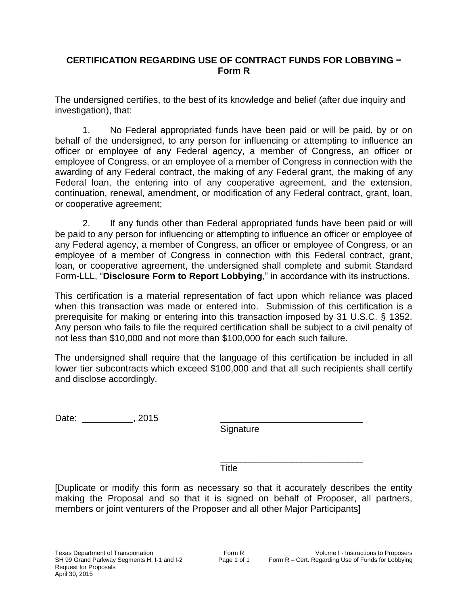#### **CERTIFICATION REGARDING USE OF CONTRACT FUNDS FOR LOBBYING − Form R**

The undersigned certifies, to the best of its knowledge and belief (after due inquiry and investigation), that:

1. No Federal appropriated funds have been paid or will be paid, by or on behalf of the undersigned, to any person for influencing or attempting to influence an officer or employee of any Federal agency, a member of Congress, an officer or employee of Congress, or an employee of a member of Congress in connection with the awarding of any Federal contract, the making of any Federal grant, the making of any Federal loan, the entering into of any cooperative agreement, and the extension, continuation, renewal, amendment, or modification of any Federal contract, grant, loan, or cooperative agreement;

2. If any funds other than Federal appropriated funds have been paid or will be paid to any person for influencing or attempting to influence an officer or employee of any Federal agency, a member of Congress, an officer or employee of Congress, or an employee of a member of Congress in connection with this Federal contract, grant, loan, or cooperative agreement, the undersigned shall complete and submit Standard Form-LLL, "**Disclosure Form to Report Lobbying**," in accordance with its instructions.

This certification is a material representation of fact upon which reliance was placed when this transaction was made or entered into. Submission of this certification is a prerequisite for making or entering into this transaction imposed by 31 U.S.C. § 1352. Any person who fails to file the required certification shall be subject to a civil penalty of not less than \$10,000 and not more than \$100,000 for each such failure.

The undersigned shall require that the language of this certification be included in all lower tier subcontracts which exceed \$100,000 and that all such recipients shall certify and disclose accordingly.

Date: \_\_\_\_\_\_\_\_\_\_\_\_\_, 2015

**Signature** 

**Title** 

[Duplicate or modify this form as necessary so that it accurately describes the entity making the Proposal and so that it is signed on behalf of Proposer, all partners, members or joint venturers of the Proposer and all other Major Participants]

\_\_\_\_\_\_\_\_\_\_\_\_\_\_\_\_\_\_\_\_\_\_\_\_\_\_\_\_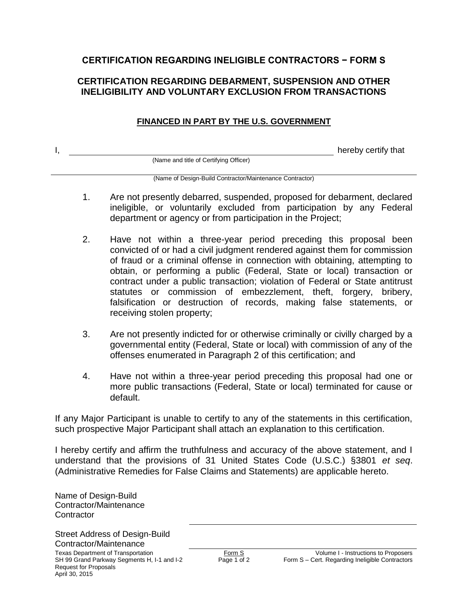#### **CERTIFICATION REGARDING INELIGIBLE CONTRACTORS − FORM S**

#### **CERTIFICATION REGARDING DEBARMENT, SUSPENSION AND OTHER INELIGIBILITY AND VOLUNTARY EXCLUSION FROM TRANSACTIONS**

#### **FINANCED IN PART BY THE U.S. GOVERNMENT**

|                                        | hereby certify that |
|----------------------------------------|---------------------|
| (Name and title of Certifying Officer) |                     |

(Name of Design-Build Contractor/Maintenance Contractor)

- 1. Are not presently debarred, suspended, proposed for debarment, declared ineligible, or voluntarily excluded from participation by any Federal department or agency or from participation in the Project;
- 2. Have not within a three-year period preceding this proposal been convicted of or had a civil judgment rendered against them for commission of fraud or a criminal offense in connection with obtaining, attempting to obtain, or performing a public (Federal, State or local) transaction or contract under a public transaction; violation of Federal or State antitrust statutes or commission of embezzlement, theft, forgery, bribery, falsification or destruction of records, making false statements, or receiving stolen property;
- 3. Are not presently indicted for or otherwise criminally or civilly charged by a governmental entity (Federal, State or local) with commission of any of the offenses enumerated in Paragraph 2 of this certification; and
- 4. Have not within a three-year period preceding this proposal had one or more public transactions (Federal, State or local) terminated for cause or default.

If any Major Participant is unable to certify to any of the statements in this certification, such prospective Major Participant shall attach an explanation to this certification.

I hereby certify and affirm the truthfulness and accuracy of the above statement, and I understand that the provisions of 31 United States Code (U.S.C.) §3801 *et seq*. (Administrative Remedies for False Claims and Statements) are applicable hereto.

Name of Design-Build Contractor/Maintenance **Contractor** 

Texas Department of Transportation Form S<br>SH 99 Grand Parkway Segments H, I-1 and I-2 Page 1 of 2 Form S - Cert. Regarding Ineligible Contractors Request for Proposals April 30, 2015 Street Address of Design-Build Contractor/Maintenance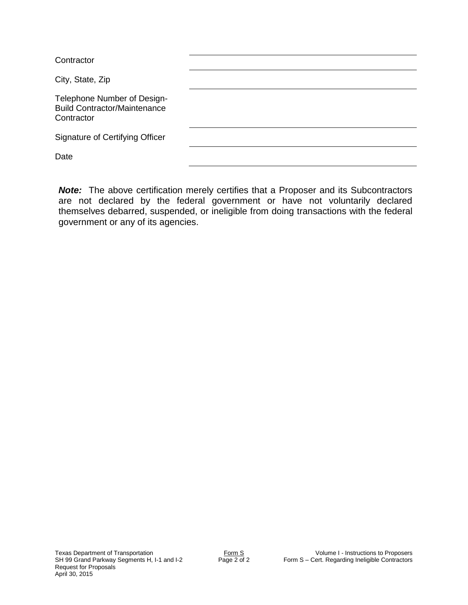| Contractor                                                                       |  |
|----------------------------------------------------------------------------------|--|
| City, State, Zip                                                                 |  |
| Telephone Number of Design-<br><b>Build Contractor/Maintenance</b><br>Contractor |  |
| Signature of Certifying Officer                                                  |  |
| Date                                                                             |  |

*Note:* The above certification merely certifies that a Proposer and its Subcontractors are not declared by the federal government or have not voluntarily declared themselves debarred, suspended, or ineligible from doing transactions with the federal government or any of its agencies.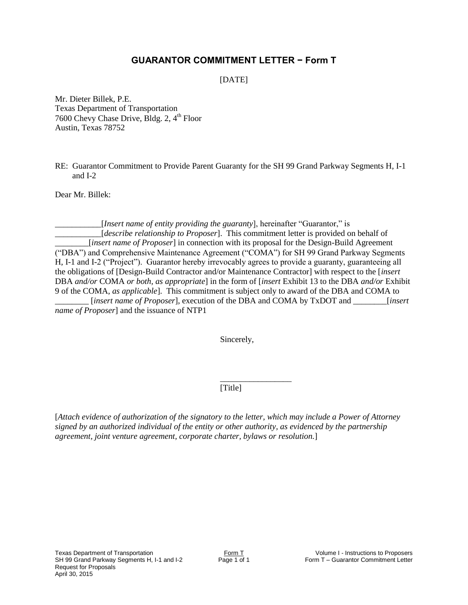#### **GUARANTOR COMMITMENT LETTER − Form T**

[DATE]

Mr. Dieter Billek, P.E. Texas Department of Transportation 7600 Chevy Chase Drive, Bldg. 2,  $4<sup>th</sup>$  Floor Austin, Texas 78752

RE: Guarantor Commitment to Provide Parent Guaranty for the SH 99 Grand Parkway Segments H, I-1 and I-2

Dear Mr. Billek:

[*Insert name of entity providing the guaranty*], hereinafter "Guarantor," is \_\_\_\_\_\_\_\_\_\_\_[*describe relationship to Proposer*]. This commitment letter is provided on behalf of \_\_\_\_\_\_\_\_[*insert name of Proposer*] in connection with its proposal for the Design-Build Agreement ("DBA") and Comprehensive Maintenance Agreement ("COMA") for SH 99 Grand Parkway Segments H, I-1 and I-2 ("Project"). Guarantor hereby irrevocably agrees to provide a guaranty, guaranteeing all the obligations of [Design-Build Contractor and/or Maintenance Contractor] with respect to the [*insert*  DBA *and/or* COMA *or both, as appropriate*] in the form of [*insert* Exhibit 13 to the DBA *and/or* Exhibit 9 of the COMA*, as applicable*]. This commitment is subject only to award of the DBA and COMA to \_\_\_\_\_\_\_\_ [*insert name of Proposer*], execution of the DBA and COMA by TxDOT and \_\_\_\_\_\_\_\_[*insert name of Proposer*] and the issuance of NTP1

Sincerely,

[Title]

\_\_\_\_\_\_\_\_\_\_\_\_\_\_\_\_\_

[*Attach evidence of authorization of the signatory to the letter, which may include a Power of Attorney signed by an authorized individual of the entity or other authority, as evidenced by the partnership agreement, joint venture agreement, corporate charter, bylaws or resolution.*]